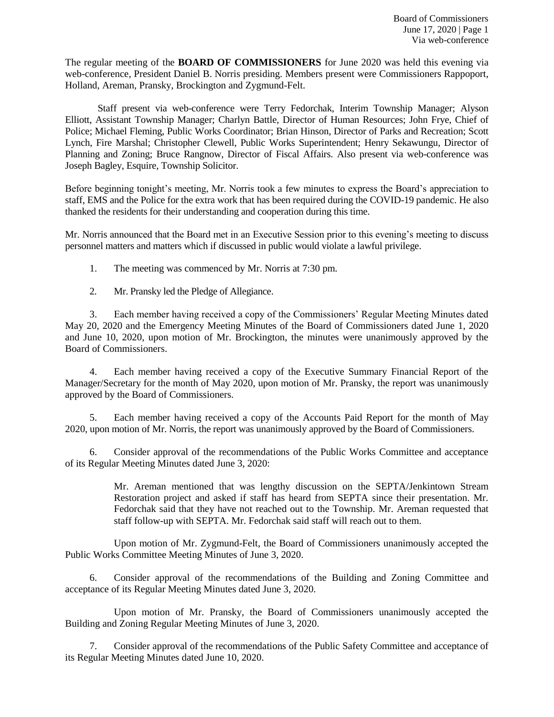The regular meeting of the **BOARD OF COMMISSIONERS** for June 2020 was held this evening via web-conference, President Daniel B. Norris presiding. Members present were Commissioners Rappoport, Holland, Areman, Pransky, Brockington and Zygmund-Felt.

Staff present via web-conference were Terry Fedorchak, Interim Township Manager; Alyson Elliott, Assistant Township Manager; Charlyn Battle, Director of Human Resources; John Frye, Chief of Police; Michael Fleming, Public Works Coordinator; Brian Hinson, Director of Parks and Recreation; Scott Lynch, Fire Marshal; Christopher Clewell, Public Works Superintendent; Henry Sekawungu, Director of Planning and Zoning; Bruce Rangnow, Director of Fiscal Affairs. Also present via web-conference was Joseph Bagley, Esquire, Township Solicitor.

Before beginning tonight's meeting, Mr. Norris took a few minutes to express the Board's appreciation to staff, EMS and the Police for the extra work that has been required during the COVID-19 pandemic. He also thanked the residents for their understanding and cooperation during this time.

Mr. Norris announced that the Board met in an Executive Session prior to this evening's meeting to discuss personnel matters and matters which if discussed in public would violate a lawful privilege.

- 1. The meeting was commenced by Mr. Norris at 7:30 pm.
- 2. Mr. Pransky led the Pledge of Allegiance.

3. Each member having received a copy of the Commissioners' Regular Meeting Minutes dated May 20, 2020 and the Emergency Meeting Minutes of the Board of Commissioners dated June 1, 2020 and June 10, 2020, upon motion of Mr. Brockington, the minutes were unanimously approved by the Board of Commissioners.

4. Each member having received a copy of the Executive Summary Financial Report of the Manager/Secretary for the month of May 2020, upon motion of Mr. Pransky, the report was unanimously approved by the Board of Commissioners.

5. Each member having received a copy of the Accounts Paid Report for the month of May 2020, upon motion of Mr. Norris, the report was unanimously approved by the Board of Commissioners.

6. Consider approval of the recommendations of the Public Works Committee and acceptance of its Regular Meeting Minutes dated June 3, 2020:

> Mr. Areman mentioned that was lengthy discussion on the SEPTA/Jenkintown Stream Restoration project and asked if staff has heard from SEPTA since their presentation. Mr. Fedorchak said that they have not reached out to the Township. Mr. Areman requested that staff follow-up with SEPTA. Mr. Fedorchak said staff will reach out to them.

Upon motion of Mr. Zygmund-Felt, the Board of Commissioners unanimously accepted the Public Works Committee Meeting Minutes of June 3, 2020.

6. Consider approval of the recommendations of the Building and Zoning Committee and acceptance of its Regular Meeting Minutes dated June 3, 2020.

Upon motion of Mr. Pransky, the Board of Commissioners unanimously accepted the Building and Zoning Regular Meeting Minutes of June 3, 2020.

7. Consider approval of the recommendations of the Public Safety Committee and acceptance of its Regular Meeting Minutes dated June 10, 2020.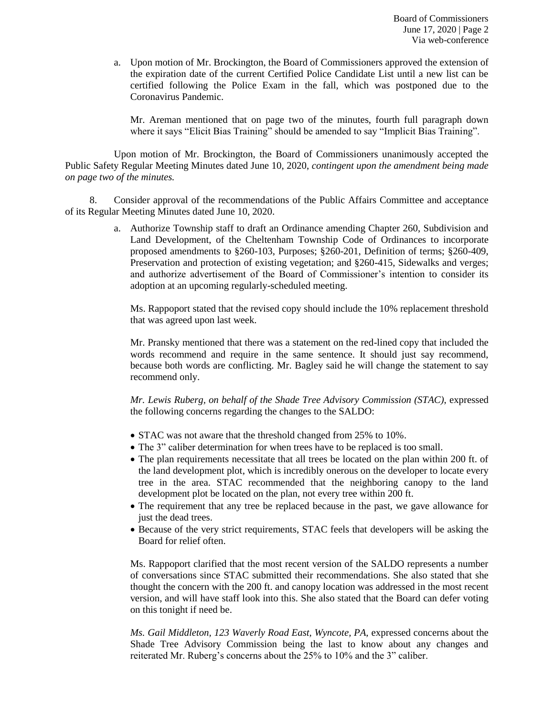a. Upon motion of Mr. Brockington, the Board of Commissioners approved the extension of the expiration date of the current Certified Police Candidate List until a new list can be certified following the Police Exam in the fall, which was postponed due to the Coronavirus Pandemic.

Mr. Areman mentioned that on page two of the minutes, fourth full paragraph down where it says "Elicit Bias Training" should be amended to say "Implicit Bias Training".

Upon motion of Mr. Brockington, the Board of Commissioners unanimously accepted the Public Safety Regular Meeting Minutes dated June 10, 2020, *contingent upon the amendment being made on page two of the minutes.*

8. Consider approval of the recommendations of the Public Affairs Committee and acceptance of its Regular Meeting Minutes dated June 10, 2020.

> a. Authorize Township staff to draft an Ordinance amending Chapter 260, Subdivision and Land Development, of the Cheltenham Township Code of Ordinances to incorporate proposed amendments to §260-103, Purposes; §260-201, Definition of terms; §260-409, Preservation and protection of existing vegetation; and §260-415, Sidewalks and verges; and authorize advertisement of the Board of Commissioner's intention to consider its adoption at an upcoming regularly-scheduled meeting.

Ms. Rappoport stated that the revised copy should include the 10% replacement threshold that was agreed upon last week.

Mr. Pransky mentioned that there was a statement on the red-lined copy that included the words recommend and require in the same sentence. It should just say recommend, because both words are conflicting. Mr. Bagley said he will change the statement to say recommend only.

*Mr. Lewis Ruberg, on behalf of the Shade Tree Advisory Commission (STAC)*, expressed the following concerns regarding the changes to the SALDO:

- STAC was not aware that the threshold changed from 25% to 10%.
- The 3" caliber determination for when trees have to be replaced is too small.
- The plan requirements necessitate that all trees be located on the plan within 200 ft. of the land development plot, which is incredibly onerous on the developer to locate every tree in the area. STAC recommended that the neighboring canopy to the land development plot be located on the plan, not every tree within 200 ft.
- The requirement that any tree be replaced because in the past, we gave allowance for just the dead trees.
- Because of the very strict requirements, STAC feels that developers will be asking the Board for relief often.

Ms. Rappoport clarified that the most recent version of the SALDO represents a number of conversations since STAC submitted their recommendations. She also stated that she thought the concern with the 200 ft. and canopy location was addressed in the most recent version, and will have staff look into this. She also stated that the Board can defer voting on this tonight if need be.

*Ms. Gail Middleton, 123 Waverly Road East, Wyncote, PA,* expressed concerns about the Shade Tree Advisory Commission being the last to know about any changes and reiterated Mr. Ruberg's concerns about the 25% to 10% and the 3" caliber.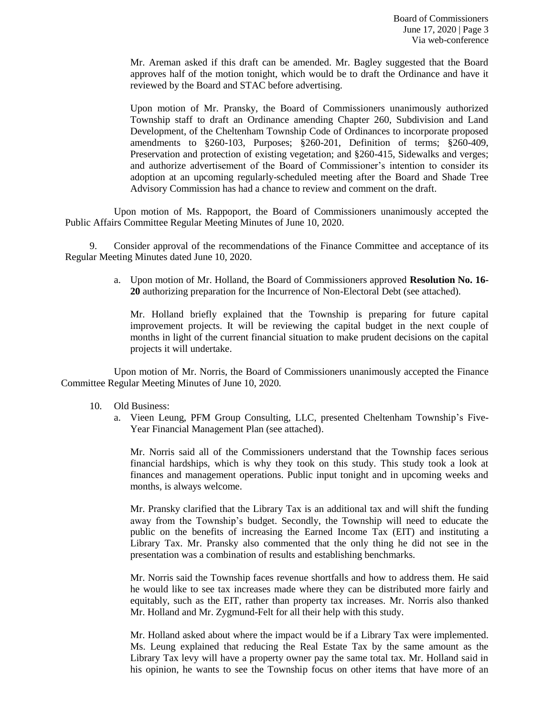Mr. Areman asked if this draft can be amended. Mr. Bagley suggested that the Board approves half of the motion tonight, which would be to draft the Ordinance and have it reviewed by the Board and STAC before advertising.

Upon motion of Mr. Pransky, the Board of Commissioners unanimously authorized Township staff to draft an Ordinance amending Chapter 260, Subdivision and Land Development, of the Cheltenham Township Code of Ordinances to incorporate proposed amendments to §260-103, Purposes; §260-201, Definition of terms; §260-409, Preservation and protection of existing vegetation; and  $§260-415$ , Sidewalks and verges; and authorize advertisement of the Board of Commissioner's intention to consider its adoption at an upcoming regularly-scheduled meeting after the Board and Shade Tree Advisory Commission has had a chance to review and comment on the draft.

Upon motion of Ms. Rappoport, the Board of Commissioners unanimously accepted the Public Affairs Committee Regular Meeting Minutes of June 10, 2020.

9. Consider approval of the recommendations of the Finance Committee and acceptance of its Regular Meeting Minutes dated June 10, 2020.

> a. Upon motion of Mr. Holland, the Board of Commissioners approved **Resolution No. 16- 20** authorizing preparation for the Incurrence of Non-Electoral Debt (see attached).

Mr. Holland briefly explained that the Township is preparing for future capital improvement projects. It will be reviewing the capital budget in the next couple of months in light of the current financial situation to make prudent decisions on the capital projects it will undertake.

Upon motion of Mr. Norris, the Board of Commissioners unanimously accepted the Finance Committee Regular Meeting Minutes of June 10, 2020.

- 10. Old Business:
	- a. Vieen Leung, PFM Group Consulting, LLC, presented Cheltenham Township's Five-Year Financial Management Plan (see attached).

Mr. Norris said all of the Commissioners understand that the Township faces serious financial hardships, which is why they took on this study. This study took a look at finances and management operations. Public input tonight and in upcoming weeks and months, is always welcome.

Mr. Pransky clarified that the Library Tax is an additional tax and will shift the funding away from the Township's budget. Secondly, the Township will need to educate the public on the benefits of increasing the Earned Income Tax (EIT) and instituting a Library Tax. Mr. Pransky also commented that the only thing he did not see in the presentation was a combination of results and establishing benchmarks.

Mr. Norris said the Township faces revenue shortfalls and how to address them. He said he would like to see tax increases made where they can be distributed more fairly and equitably, such as the EIT, rather than property tax increases. Mr. Norris also thanked Mr. Holland and Mr. Zygmund-Felt for all their help with this study.

Mr. Holland asked about where the impact would be if a Library Tax were implemented. Ms. Leung explained that reducing the Real Estate Tax by the same amount as the Library Tax levy will have a property owner pay the same total tax. Mr. Holland said in his opinion, he wants to see the Township focus on other items that have more of an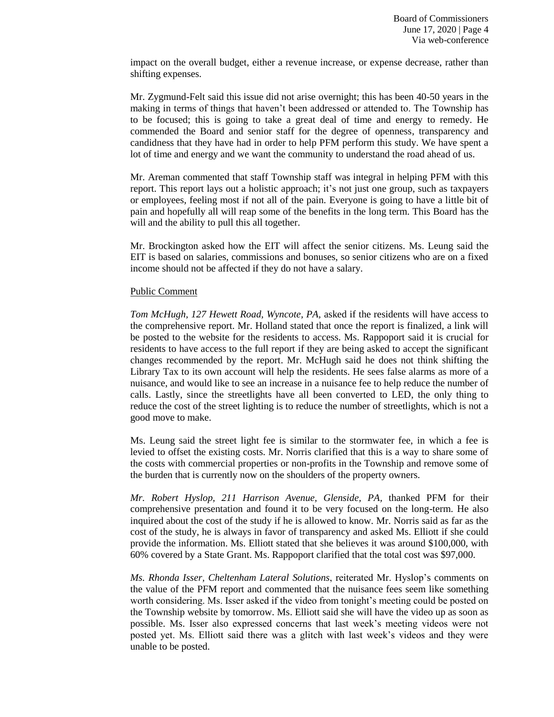impact on the overall budget, either a revenue increase, or expense decrease, rather than shifting expenses.

Mr. Zygmund-Felt said this issue did not arise overnight; this has been 40-50 years in the making in terms of things that haven't been addressed or attended to. The Township has to be focused; this is going to take a great deal of time and energy to remedy. He commended the Board and senior staff for the degree of openness, transparency and candidness that they have had in order to help PFM perform this study. We have spent a lot of time and energy and we want the community to understand the road ahead of us.

Mr. Areman commented that staff Township staff was integral in helping PFM with this report. This report lays out a holistic approach; it's not just one group, such as taxpayers or employees, feeling most if not all of the pain. Everyone is going to have a little bit of pain and hopefully all will reap some of the benefits in the long term. This Board has the will and the ability to pull this all together.

Mr. Brockington asked how the EIT will affect the senior citizens. Ms. Leung said the EIT is based on salaries, commissions and bonuses, so senior citizens who are on a fixed income should not be affected if they do not have a salary.

#### Public Comment

*Tom McHugh, 127 Hewett Road, Wyncote, PA,* asked if the residents will have access to the comprehensive report. Mr. Holland stated that once the report is finalized, a link will be posted to the website for the residents to access. Ms. Rappoport said it is crucial for residents to have access to the full report if they are being asked to accept the significant changes recommended by the report. Mr. McHugh said he does not think shifting the Library Tax to its own account will help the residents. He sees false alarms as more of a nuisance, and would like to see an increase in a nuisance fee to help reduce the number of calls. Lastly, since the streetlights have all been converted to LED, the only thing to reduce the cost of the street lighting is to reduce the number of streetlights, which is not a good move to make.

Ms. Leung said the street light fee is similar to the stormwater fee, in which a fee is levied to offset the existing costs. Mr. Norris clarified that this is a way to share some of the costs with commercial properties or non-profits in the Township and remove some of the burden that is currently now on the shoulders of the property owners.

*Mr. Robert Hyslop, 211 Harrison Avenue, Glenside, PA,* thanked PFM for their comprehensive presentation and found it to be very focused on the long-term. He also inquired about the cost of the study if he is allowed to know. Mr. Norris said as far as the cost of the study, he is always in favor of transparency and asked Ms. Elliott if she could provide the information. Ms. Elliott stated that she believes it was around \$100,000, with 60% covered by a State Grant. Ms. Rappoport clarified that the total cost was \$97,000.

*Ms. Rhonda Isser, Cheltenham Lateral Solutions*, reiterated Mr. Hyslop's comments on the value of the PFM report and commented that the nuisance fees seem like something worth considering. Ms. Isser asked if the video from tonight's meeting could be posted on the Township website by tomorrow. Ms. Elliott said she will have the video up as soon as possible. Ms. Isser also expressed concerns that last week's meeting videos were not posted yet. Ms. Elliott said there was a glitch with last week's videos and they were unable to be posted.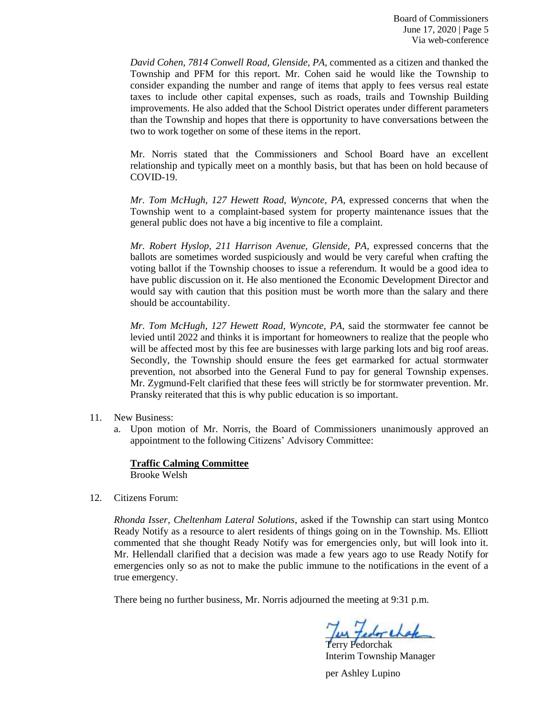*David Cohen, 7814 Conwell Road, Glenside, PA*, commented as a citizen and thanked the Township and PFM for this report. Mr. Cohen said he would like the Township to consider expanding the number and range of items that apply to fees versus real estate taxes to include other capital expenses, such as roads, trails and Township Building improvements. He also added that the School District operates under different parameters than the Township and hopes that there is opportunity to have conversations between the two to work together on some of these items in the report.

Mr. Norris stated that the Commissioners and School Board have an excellent relationship and typically meet on a monthly basis, but that has been on hold because of COVID-19.

*Mr. Tom McHugh, 127 Hewett Road, Wyncote, PA,* expressed concerns that when the Township went to a complaint-based system for property maintenance issues that the general public does not have a big incentive to file a complaint.

*Mr. Robert Hyslop, 211 Harrison Avenue, Glenside, PA,* expressed concerns that the ballots are sometimes worded suspiciously and would be very careful when crafting the voting ballot if the Township chooses to issue a referendum. It would be a good idea to have public discussion on it. He also mentioned the Economic Development Director and would say with caution that this position must be worth more than the salary and there should be accountability.

*Mr. Tom McHugh, 127 Hewett Road, Wyncote, PA,* said the stormwater fee cannot be levied until 2022 and thinks it is important for homeowners to realize that the people who will be affected most by this fee are businesses with large parking lots and big roof areas. Secondly, the Township should ensure the fees get earmarked for actual stormwater prevention, not absorbed into the General Fund to pay for general Township expenses. Mr. Zygmund-Felt clarified that these fees will strictly be for stormwater prevention. Mr. Pransky reiterated that this is why public education is so important.

- 11. New Business:
	- a. Upon motion of Mr. Norris, the Board of Commissioners unanimously approved an appointment to the following Citizens' Advisory Committee:

#### **Traffic Calming Committee**  Brooke Welsh

12. Citizens Forum:

*Rhonda Isser, Cheltenham Lateral Solutions*, asked if the Township can start using Montco Ready Notify as a resource to alert residents of things going on in the Township. Ms. Elliott commented that she thought Ready Notify was for emergencies only, but will look into it. Mr. Hellendall clarified that a decision was made a few years ago to use Ready Notify for emergencies only so as not to make the public immune to the notifications in the event of a true emergency.

There being no further business, Mr. Norris adjourned the meeting at 9:31 p.m.

I've tedor chake

Terry Fedorchak Interim Township Manager per Ashley Lupino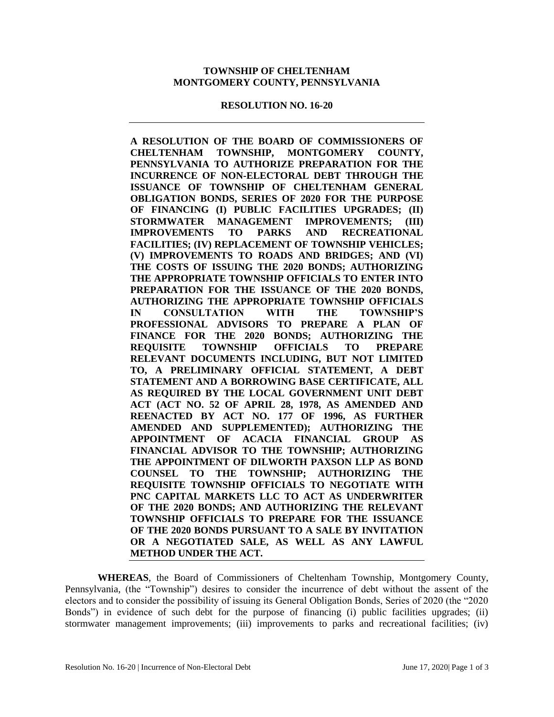#### **TOWNSHIP OF CHELTENHAM MONTGOMERY COUNTY, PENNSYLVANIA**

#### **RESOLUTION NO. 16-20**

**A RESOLUTION OF THE BOARD OF COMMISSIONERS OF CHELTENHAM TOWNSHIP, MONTGOMERY COUNTY, PENNSYLVANIA TO AUTHORIZE PREPARATION FOR THE INCURRENCE OF NON-ELECTORAL DEBT THROUGH THE ISSUANCE OF TOWNSHIP OF CHELTENHAM GENERAL OBLIGATION BONDS, SERIES OF 2020 FOR THE PURPOSE OF FINANCING (I) PUBLIC FACILITIES UPGRADES; (II) STORMWATER MANAGEMENT IMPROVEMENTS; (III) IMPROVEMENTS TO PARKS AND RECREATIONAL FACILITIES; (IV) REPLACEMENT OF TOWNSHIP VEHICLES; (V) IMPROVEMENTS TO ROADS AND BRIDGES; AND (VI) THE COSTS OF ISSUING THE 2020 BONDS; AUTHORIZING THE APPROPRIATE TOWNSHIP OFFICIALS TO ENTER INTO PREPARATION FOR THE ISSUANCE OF THE 2020 BONDS, AUTHORIZING THE APPROPRIATE TOWNSHIP OFFICIALS IN CONSULTATION WITH THE TOWNSHIP'S PROFESSIONAL ADVISORS TO PREPARE A PLAN OF FINANCE FOR THE 2020 BONDS; AUTHORIZING THE REQUISITE TOWNSHIP OFFICIALS TO PREPARE RELEVANT DOCUMENTS INCLUDING, BUT NOT LIMITED TO, A PRELIMINARY OFFICIAL STATEMENT, A DEBT STATEMENT AND A BORROWING BASE CERTIFICATE, ALL AS REQUIRED BY THE LOCAL GOVERNMENT UNIT DEBT ACT (ACT NO. 52 OF APRIL 28, 1978, AS AMENDED AND REENACTED BY ACT NO. 177 OF 1996, AS FURTHER AMENDED AND SUPPLEMENTED); AUTHORIZING THE APPOINTMENT OF ACACIA FINANCIAL GROUP AS FINANCIAL ADVISOR TO THE TOWNSHIP; AUTHORIZING THE APPOINTMENT OF DILWORTH PAXSON LLP AS BOND COUNSEL TO THE TOWNSHIP; AUTHORIZING THE REQUISITE TOWNSHIP OFFICIALS TO NEGOTIATE WITH PNC CAPITAL MARKETS LLC TO ACT AS UNDERWRITER OF THE 2020 BONDS; AND AUTHORIZING THE RELEVANT TOWNSHIP OFFICIALS TO PREPARE FOR THE ISSUANCE OF THE 2020 BONDS PURSUANT TO A SALE BY INVITATION OR A NEGOTIATED SALE, AS WELL AS ANY LAWFUL METHOD UNDER THE ACT.** 

**WHEREAS**, the Board of Commissioners of Cheltenham Township, Montgomery County, Pennsylvania, (the "Township") desires to consider the incurrence of debt without the assent of the electors and to consider the possibility of issuing its General Obligation Bonds, Series of 2020 (the "2020 Bonds") in evidence of such debt for the purpose of financing (i) public facilities upgrades; (ii) stormwater management improvements; (iii) improvements to parks and recreational facilities; (iv)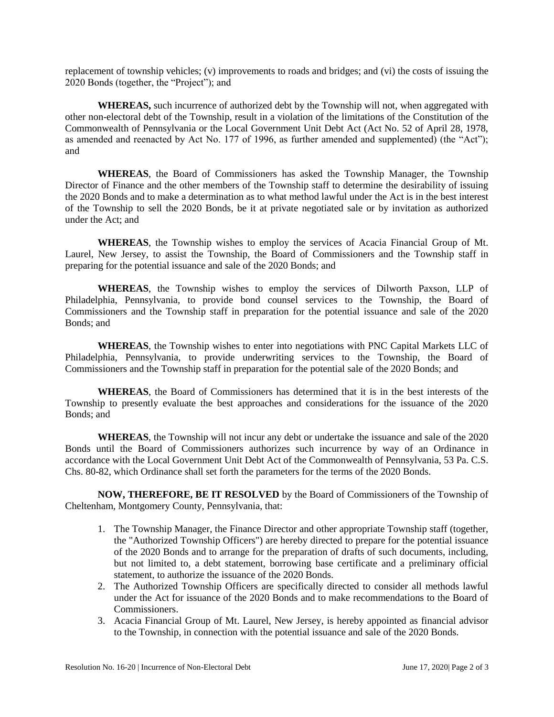replacement of township vehicles; (v) improvements to roads and bridges; and (vi) the costs of issuing the 2020 Bonds (together, the "Project"); and

**WHEREAS,** such incurrence of authorized debt by the Township will not, when aggregated with other non-electoral debt of the Township, result in a violation of the limitations of the Constitution of the Commonwealth of Pennsylvania or the Local Government Unit Debt Act (Act No. 52 of April 28, 1978, as amended and reenacted by Act No. 177 of 1996, as further amended and supplemented) (the "Act"); and

**WHEREAS**, the Board of Commissioners has asked the Township Manager, the Township Director of Finance and the other members of the Township staff to determine the desirability of issuing the 2020 Bonds and to make a determination as to what method lawful under the Act is in the best interest of the Township to sell the 2020 Bonds, be it at private negotiated sale or by invitation as authorized under the Act; and

**WHEREAS**, the Township wishes to employ the services of Acacia Financial Group of Mt. Laurel, New Jersey, to assist the Township, the Board of Commissioners and the Township staff in preparing for the potential issuance and sale of the 2020 Bonds; and

**WHEREAS**, the Township wishes to employ the services of Dilworth Paxson, LLP of Philadelphia, Pennsylvania, to provide bond counsel services to the Township, the Board of Commissioners and the Township staff in preparation for the potential issuance and sale of the 2020 Bonds; and

**WHEREAS**, the Township wishes to enter into negotiations with PNC Capital Markets LLC of Philadelphia, Pennsylvania, to provide underwriting services to the Township, the Board of Commissioners and the Township staff in preparation for the potential sale of the 2020 Bonds; and

**WHEREAS**, the Board of Commissioners has determined that it is in the best interests of the Township to presently evaluate the best approaches and considerations for the issuance of the 2020 Bonds; and

**WHEREAS**, the Township will not incur any debt or undertake the issuance and sale of the 2020 Bonds until the Board of Commissioners authorizes such incurrence by way of an Ordinance in accordance with the Local Government Unit Debt Act of the Commonwealth of Pennsylvania, 53 Pa. C.S. Chs. 80-82, which Ordinance shall set forth the parameters for the terms of the 2020 Bonds.

**NOW, THEREFORE, BE IT RESOLVED** by the Board of Commissioners of the Township of Cheltenham, Montgomery County, Pennsylvania, that:

- 1. The Township Manager, the Finance Director and other appropriate Township staff (together, the "Authorized Township Officers") are hereby directed to prepare for the potential issuance of the 2020 Bonds and to arrange for the preparation of drafts of such documents, including, but not limited to, a debt statement, borrowing base certificate and a preliminary official statement, to authorize the issuance of the 2020 Bonds.
- 2. The Authorized Township Officers are specifically directed to consider all methods lawful under the Act for issuance of the 2020 Bonds and to make recommendations to the Board of Commissioners.
- 3. Acacia Financial Group of Mt. Laurel, New Jersey, is hereby appointed as financial advisor to the Township, in connection with the potential issuance and sale of the 2020 Bonds.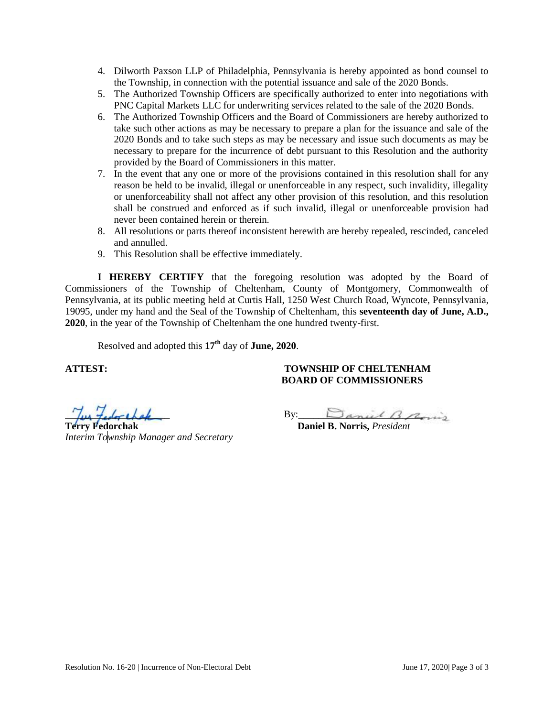- 4. Dilworth Paxson LLP of Philadelphia, Pennsylvania is hereby appointed as bond counsel to the Township, in connection with the potential issuance and sale of the 2020 Bonds.
- 5. The Authorized Township Officers are specifically authorized to enter into negotiations with PNC Capital Markets LLC for underwriting services related to the sale of the 2020 Bonds.
- 6. The Authorized Township Officers and the Board of Commissioners are hereby authorized to take such other actions as may be necessary to prepare a plan for the issuance and sale of the 2020 Bonds and to take such steps as may be necessary and issue such documents as may be necessary to prepare for the incurrence of debt pursuant to this Resolution and the authority provided by the Board of Commissioners in this matter.
- 7. In the event that any one or more of the provisions contained in this resolution shall for any reason be held to be invalid, illegal or unenforceable in any respect, such invalidity, illegality or unenforceability shall not affect any other provision of this resolution, and this resolution shall be construed and enforced as if such invalid, illegal or unenforceable provision had never been contained herein or therein.
- 8. All resolutions or parts thereof inconsistent herewith are hereby repealed, rescinded, canceled and annulled.
- 9. This Resolution shall be effective immediately.

**I HEREBY CERTIFY** that the foregoing resolution was adopted by the Board of Commissioners of the Township of Cheltenham, County of Montgomery, Commonwealth of Pennsylvania, at its public meeting held at Curtis Hall, 1250 West Church Road, Wyncote, Pennsylvania, 19095, under my hand and the Seal of the Township of Cheltenham, this **seventeenth day of June, A.D., 2020**, in the year of the Township of Cheltenham the one hundred twenty-first.

Resolved and adopted this **17th** day of **June, 2020**.

#### **ATTEST: TOWNSHIP OF CHELTENHAM BOARD OF COMMISSIONERS**

**Terry Fedorchak Daniel B. Norris,** *President Interim Township Manager and Secretary*

 $7_{\mu\nu}$  Federal at  $B$ y: Samil Brazing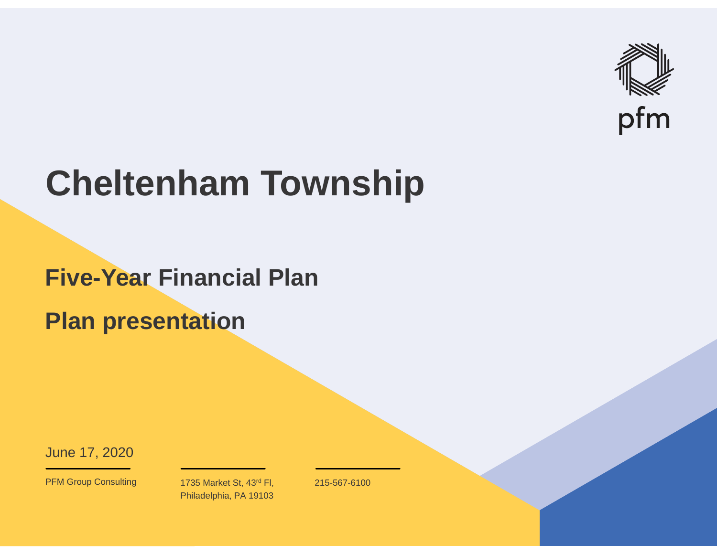

# **Cheltenham Township**

## **Five-Year Financial Plan**

**Plan presentation**

June 17, 2020

PFM Group Consulting 1735 Market St, 43rd Fl, Philadelphia, PA 19103

215-567-6100

,我们也不能在这里,我们也不能在这里,我们也不能在这里,我们也不能在这里,我们也不能在这里,我们也不能在这里,我们也不能在这里,我们也不能在这里,我们也不能在这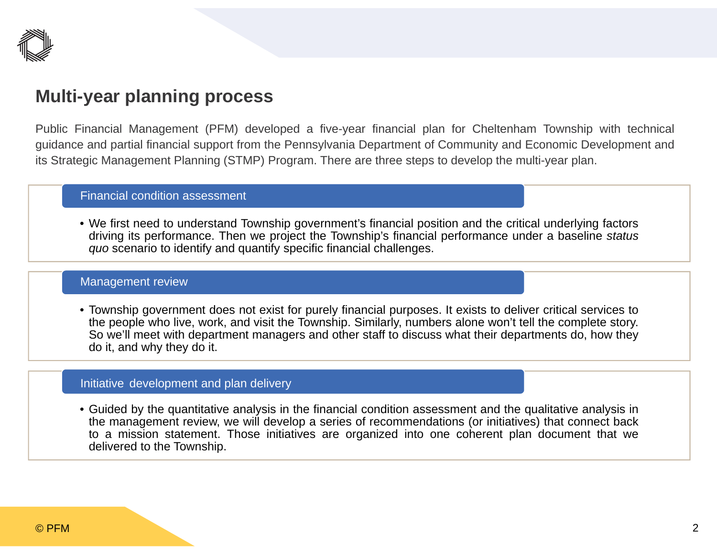

## **Multi-year planning process**

Public Financial Management (PFM) developed <sup>a</sup> five-year financial plan for Cheltenham Township with technical guidance and partial financial support from the Pennsylvania Department of Community and Economic Development and its Strategic Management Planning (STMP) Program. There are three steps to develop the multi-year plan.

#### Financial condition assessment

• We first need to understand Township government's financial position and the critical underlying factors driving its performance. Then we project the Township's financial performance under <sup>a</sup> baseline *status quo* scenario to identify and quantify specific financial challenges.

#### Management review

• Township government does not exist for purely financial purposes. It exists to deliver critical services to the people who live, work, and visit the Township. Similarly, numbers alone won't tell the complete story. So we'll meet with department managers and other staff to discuss what their departments do, how they do it, and why they do it.

#### Initiative development and plan delivery

• Guided by the quantitative analysis in the financial condition assessment and the qualitative analysis in the management review, we will develop <sup>a</sup> series of recommendations (or initiatives) that connect back to <sup>a</sup> mission statement. Those initiatives are organized into one coherent plan document that we delivered to the Township.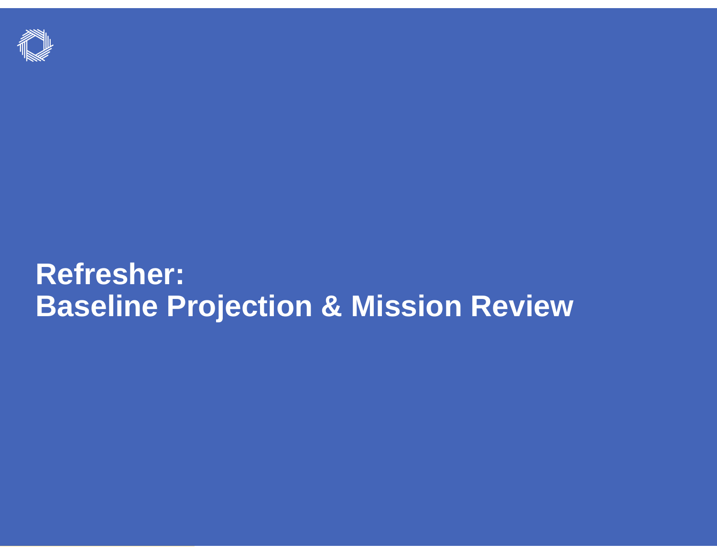

## **Refresher: Baseline Projection & Mission Review**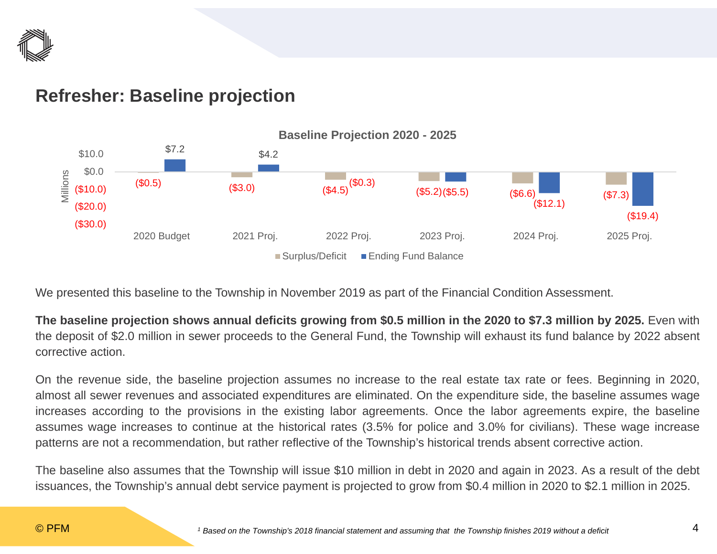



## **Refresher: Baseline projection**

We presented this baseline to the Township in November 2019 as part of the Financial Condition Assessment.

The baseline projection shows annual deficits growing from \$0.5 million in the 2020 to \$7.3 million by 2025. Even with the deposit of \$2.0 million in sewer proceeds to the General Fund, the Township will exhaust its fund balance by 2022 absent corrective action.

On the revenue side, the baseline projection assumes no increase to the real estate tax rate or fees. Beginning in 2020, almost all sewer revenues and associated expenditures are eliminated. On the expenditure side, the baseline assumes wage increases according to the provisions in the existing labor agreements. Once the labor agreements expire, the baseline assumes wage increases to continue at the historical rates (3.5% for police and 3.0% for civilians). These wage increase patterns are not <sup>a</sup> recommendation, but rather reflective of the Township's historical trends absent corrective action.

The baseline also assumes that the Township will issue \$10 million in debt in 2020 and again in 2023. As <sup>a</sup> result of the debt issuances, the Township's annual debt service payment is projected to grow from \$0.4 million in 2020 to \$2.1 million in 2025.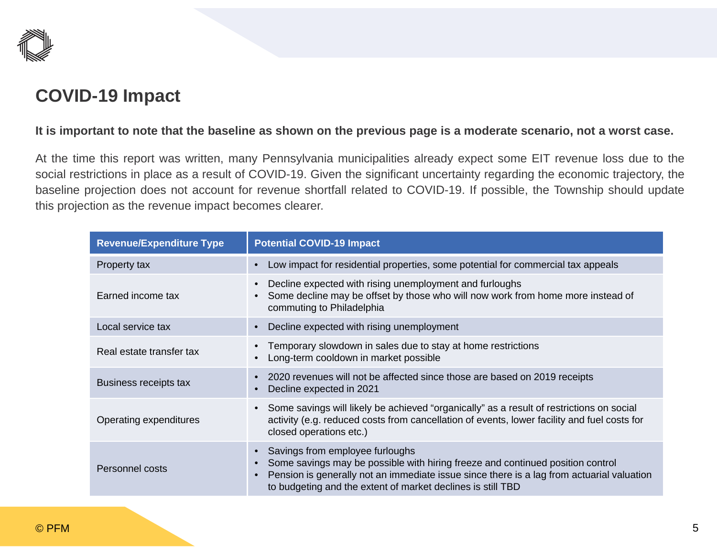

## **COVID-19 Impact**

#### It is important to note that the baseline as shown on the previous page is a moderate scenario, not a worst case.

At the time this report was written, many Pennsylvania municipalities already expect some EIT revenue loss due to the social restrictions in place as <sup>a</sup> result of COVID-19. Given the significant uncertainty regarding the economic trajectory, the baseline projection does not account for revenue shortfall related to COVID-19. If possible, the Township should update this projection as the revenue impact becomes clearer.

| <b>Revenue/Expenditure Type</b> | <b>Potential COVID-19 Impact</b>                                                                                                                                                                                                                                                                        |
|---------------------------------|---------------------------------------------------------------------------------------------------------------------------------------------------------------------------------------------------------------------------------------------------------------------------------------------------------|
| Property tax                    | Low impact for residential properties, some potential for commercial tax appeals<br>$\bullet$                                                                                                                                                                                                           |
| Earned income tax               | Decline expected with rising unemployment and furloughs<br>$\bullet$<br>Some decline may be offset by those who will now work from home more instead of<br>$\bullet$<br>commuting to Philadelphia                                                                                                       |
| Local service tax               | Decline expected with rising unemployment<br>$\bullet$                                                                                                                                                                                                                                                  |
| Real estate transfer tax        | Temporary slowdown in sales due to stay at home restrictions<br>Long-term cooldown in market possible<br>$\bullet$                                                                                                                                                                                      |
| Business receipts tax           | 2020 revenues will not be affected since those are based on 2019 receipts<br>$\bullet$<br>Decline expected in 2021<br>$\bullet$                                                                                                                                                                         |
| Operating expenditures          | Some savings will likely be achieved "organically" as a result of restrictions on social<br>$\bullet$<br>activity (e.g. reduced costs from cancellation of events, lower facility and fuel costs for<br>closed operations etc.)                                                                         |
| Personnel costs                 | Savings from employee furloughs<br>$\bullet$<br>Some savings may be possible with hiring freeze and continued position control<br>Pension is generally not an immediate issue since there is a lag from actuarial valuation<br>$\bullet$<br>to budgeting and the extent of market declines is still TBD |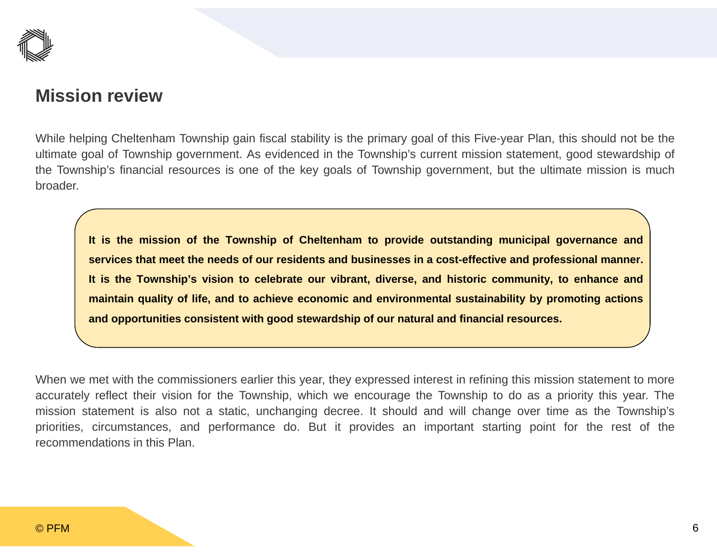

#### **Mission review**

While helping Cheltenham Township gain fiscal stability is the primary goal of this Five-year Plan, this should not be the ultimate goal of Township government. As evidenced in the Township's current mission statement, good stewardship of the Township's financial resources is one of the key goals of Township government, but the ultimate mission is much broader.

It is the mission of the Township of Cheltenham to provide outstanding municipal governance and services that meet the needs of our residents and businesses in a cost-effective and professional manner. It is the Township's vision to celebrate our vibrant, diverse, and historic community, to enhance and maintain quality of life, and to achieve economic and environmental sustainability by promoting actions and opportunities consistent with good stewardship of our natural and financial resources.

When we met with the commissioners earlier this year, they expressed interest in refining this mission statement to more accurately reflect their vision for the Township, which we encourage the Township to do as <sup>a</sup> priority this year. The mission statement is also not <sup>a</sup> static, unchanging decree. It should and will change over time as the Township's priorities, circumstances, and performance do. But it provides an important starting point for the rest of the recommendations in this Plan.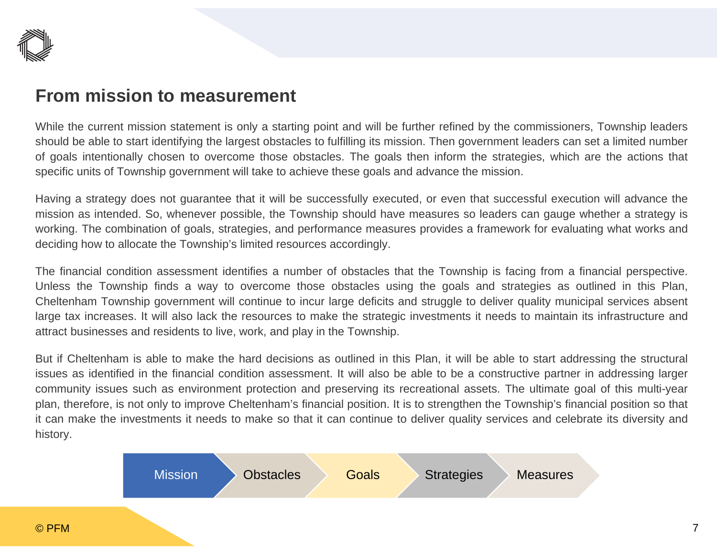

### **From mission to measurement**

While the current mission statement is only <sup>a</sup> starting point and will be further refined by the commissioners, Township leaders should be able to start identifying the largest obstacles to fulfilling its mission. Then government leaders can set <sup>a</sup> limited number of goals intentionally chosen to overcome those obstacles. The goals then inform the strategies, which are the actions that specific units of Township government will take to achieve these goals and advance the mission.

Having <sup>a</sup> strategy does not guarantee that it will be successfully executed, or even that successful execution will advance the mission as intended. So, whenever possible, the Township should have measures so leaders can gauge whether <sup>a</sup> strategy is working. The combination of goals, strategies, and performance measures provides <sup>a</sup> framework for evaluating what works and deciding how to allocate the Township's limited resources accordingly.

The financial condition assessment identifies <sup>a</sup> number of obstacles that the Township is facing from <sup>a</sup> financial perspective. Unless the Township finds <sup>a</sup> way to overcome those obstacles using the goals and strategies as outlined in this Plan, Cheltenham Township government will continue to incur large deficits and struggle to deliver quality municipal services absent large tax increases. It will also lack the resources to make the strategic investments it needs to maintain its infrastructure and attract businesses and residents to live, work, and play in the Township.

But if Cheltenham is able to make the hard decisions as outlined in this Plan, it will be able to start addressing the structural issues as identified in the financial condition assessment. It will also be able to be <sup>a</sup> constructive partner in addressing larger community issues such as environment protection and preserving its recreational assets. The ultimate goal of this multi-year plan, therefore, is not only to improve Cheltenham's financial position. It is to strengthen the Township's financial position so that it can make the investments it needs to make so that it can continue to deliver quality services and celebrate its diversity and history.

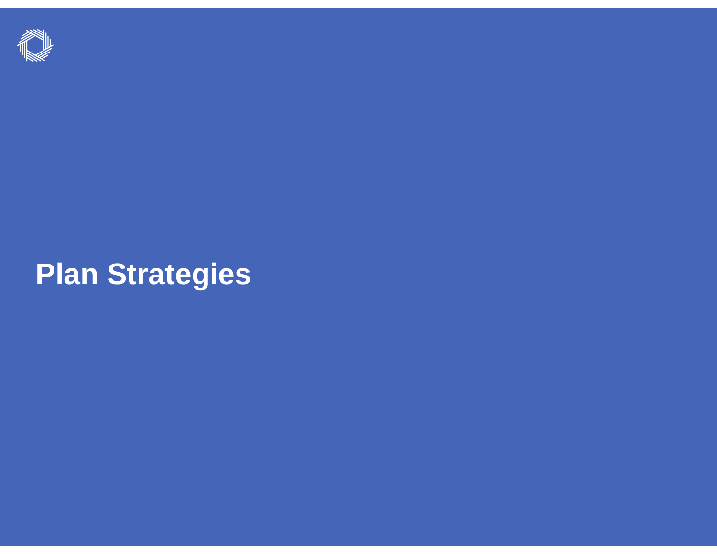

## **Plan Strategies**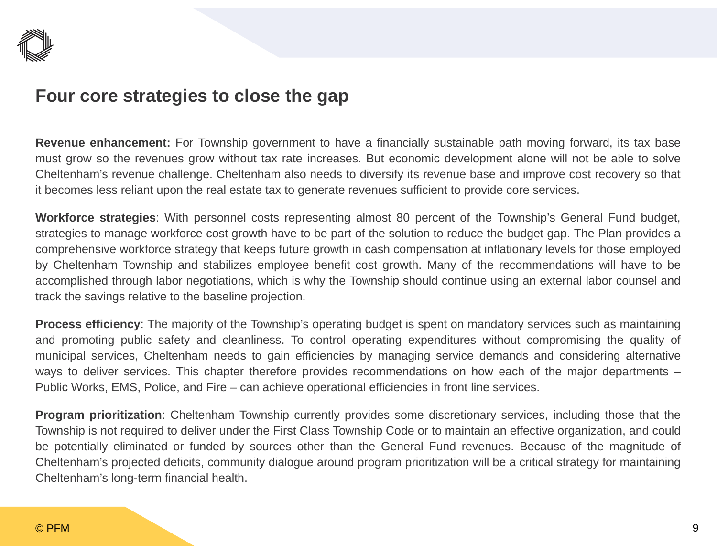

### **Four core strategies to close the gap**

**Revenue enhancement:** For Township government to have <sup>a</sup> financially sustainable path moving forward, its tax base must grow so the revenues grow without tax rate increases. But economic development alone will not be able to solve Cheltenham's revenue challenge. Cheltenham also needs to diversify its revenue base and improve cost recovery so that it becomes less reliant upon the real estate tax to generate revenues sufficient to provide core services.

**Workforce strategies**: With personnel costs representing almost 80 percent of the Township's General Fund budget, strategies to manage workforce cost growth have to be part of the solution to reduce the budget gap. The Plan provides <sup>a</sup> comprehensive workforce strategy that keeps future growth in cash compensation at inflationary levels for those employed by Cheltenham Township and stabilizes employee benefit cost growth. Many of the recommendations will have to be accomplished through labor negotiations, which is why the Township should continue using an external labor counsel and track the savings relative to the baseline projection.

**Process efficiency**: The majority of the Township's operating budget is spent on mandatory services such as maintaining and promoting public safety and cleanliness. To control operating expenditures without compromising the quality of municipal services, Cheltenham needs to gain efficiencies by managing service demands and considering alternative ways to deliver services. This chapter therefore provides recommendations on how each of the major departments – Public Works, EMS, Police, and Fire – can achieve operational efficiencies in front line services.

**Program prioritization**: Cheltenham Township currently provides some discretionary services, including those that the Township is not required to deliver under the First Class Township Code or to maintain an effective organization, and could be potentially eliminated or funded by sources other than the General Fund revenues. Because of the magnitude of Cheltenham's projected deficits, community dialogue around program prioritization will be <sup>a</sup> critical strategy for maintaining Cheltenham's long-term financial health.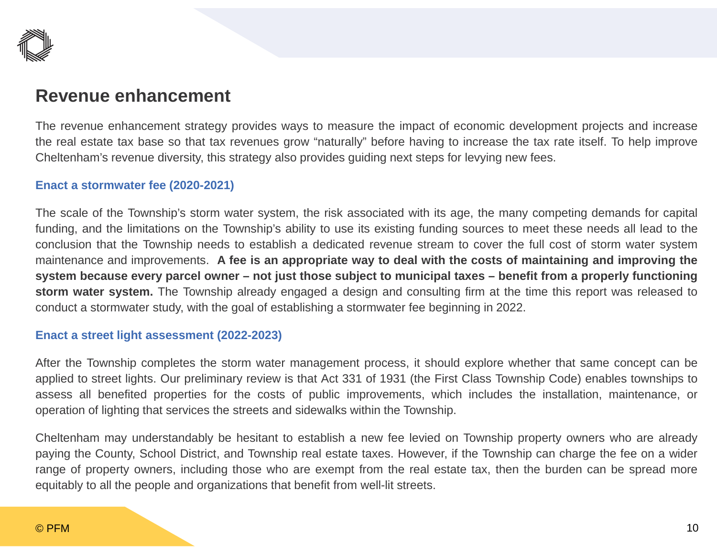

#### **Revenue enhancement**

The revenue enhancement strategy provides ways to measure the impact of economic development projects and increase the real estate tax base so that tax revenues grow "naturally" before having to increase the tax rate itself. To help improve Cheltenham's revenue diversity, this strategy also provides guiding next steps for levying new fees.

#### **Enact <sup>a</sup> stormwater fee (2020-2021)**

The scale of the Township's storm water system, the risk associated with its age, the many competing demands for capital funding, and the limitations on the Township's ability to use its existing funding sources to meet these needs all lead to the conclusion that the Township needs to establish <sup>a</sup> dedicated revenue stream to cover the full cost of storm water system maintenance and improvements. A fee is an appropriate way to deal with the costs of maintaining and improving the system because every parcel owner – not just those subject to municipal taxes – benefit from a properly functioning **storm water system.** The Township already engaged <sup>a</sup> design and consulting firm at the time this report was released to conduct <sup>a</sup> stormwater study, with the goal of establishing <sup>a</sup> stormwater fee beginning in 2022.

#### **Enact <sup>a</sup> street light assessment (2022-2023)**

After the Township completes the storm water management process, it should explore whether that same concept can be applied to street lights. Our preliminary review is that Act 331 of 1931 (the First Class Township Code) enables townships to assess all benefited properties for the costs of public improvements, which includes the installation, maintenance, or operation of lighting that services the streets and sidewalks within the Township.

Cheltenham may understandably be hesitant to establish <sup>a</sup> new fee levied on Township property owners who are already paying the County, School District, and Township real estate taxes. However, if the Township can charge the fee on <sup>a</sup> wider range of property owners, including those who are exempt from the real estate tax, then the burden can be spread more equitably to all the people and organizations that benefit from well-lit streets.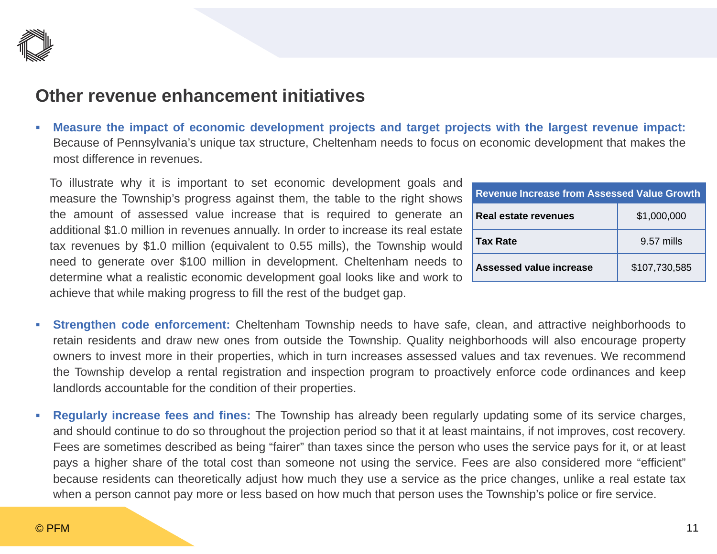

#### **Other revenue enhancement initiatives**

**I** Measure the impact of economic development projects and target projects with the largest revenue impact: Because of Pennsylvania's unique tax structure, Cheltenham needs to focus on economic development that makes the most difference in revenues.

To illustrate why it is important to set economic development goals and measure the Township's progress against them, the table to the right shows the amount of assessed value increase that is required to generate an additional \$1.0 million in revenues annually. In order to increase its real estate tax revenues by \$1.0 million (equivalent to 0.55 mills), the Township would need to generate over \$100 million in development. Cheltenham needs to determine what <sup>a</sup> realistic economic development goal looks like and work to achieve that while making progress to fill the rest of the budget gap.

| <b>Revenue Increase from Assessed Value Growth</b> |               |  |  |  |  |
|----------------------------------------------------|---------------|--|--|--|--|
| Real estate revenues                               | \$1,000,000   |  |  |  |  |
| Tax Rate                                           | $9.57$ mills  |  |  |  |  |
| <b>Assessed value increase</b>                     | \$107,730,585 |  |  |  |  |

- Ē. **Strengthen code enforcement:** Cheltenham Township needs to have safe, clean, and attractive neighborhoods to retain residents and draw new ones from outside the Township. Quality neighborhoods will also encourage property owners to invest more in their properties, which in turn increases assessed values and tax revenues. We recommend the Township develop <sup>a</sup> rental registration and inspection program to proactively enforce code ordinances and keep landlords accountable for the condition of their properties.
- Ì. **Regularly increase fees and fines:** The Township has already been regularly updating some of its service charges, and should continue to do so throughout the projection period so that it at least maintains, if not improves, cost recovery. Fees are sometimes described as being "fairer" than taxes since the person who uses the service pays for it, or at least pays <sup>a</sup> higher share of the total cost than someone not using the service. Fees are also considered more "efficient" because residents can theoretically adjust how much they use <sup>a</sup> service as the price changes, unlike <sup>a</sup> real estate tax when <sup>a</sup> person cannot pay more or less based on how much that person uses the Township's police or fire service.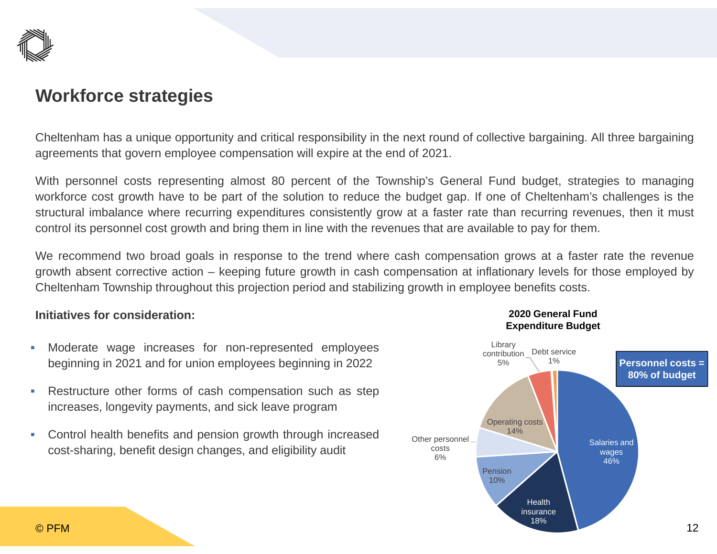

## **Workforce strategies**

Cheltenham has <sup>a</sup> unique opportunity and critical responsibility in the next round of collective bargaining. All three bargaining agreements that govern employee compensation will expire at the end of 2021.

With personnel costs representing almost 80 percent of the Township's General Fund budget, strategies to managing workforce cost growth have to be part of the solution to reduce the budget gap. If one of Cheltenham's challenges is the structural imbalance where recurring expenditures consistently grow at <sup>a</sup> faster rate than recurring revenues, then it must control its personnel cost growth and bring them in line with the revenues that are available to pay for them.

We recommend two broad goals in response to the trend where cash compensation grows at a faster rate the revenue growth absent corrective action – keeping future growth in cash compensation at inflationary levels for those employed by Cheltenham Township throughout this projection period and stabilizing growth in employee benefits costs.

#### **Initiatives for consideration:**

- H. Moderate wage increases for non-represented employees beginning in 2021 and for union employees beginning in 2022
- $\blacksquare$  Restructure other forms of cash compensation such as step increases, longevity payments, and sick leave program
- $\overline{\phantom{a}}$  Control health benefits and pension growth through increased cost-sharing, benefit design changes, and eligibility audit



#### **2020 General Fund Expenditure Budget**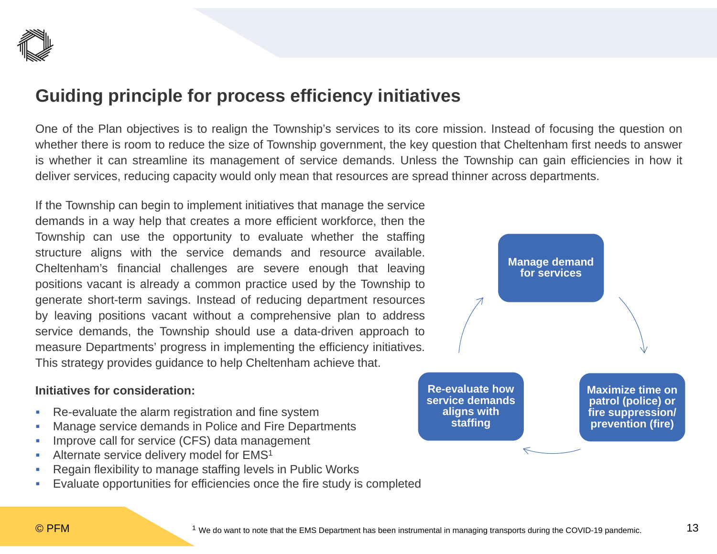

## **Guiding principle for process efficiency initiatives**

One of the Plan objectives is to realign the Township's services to its core mission. Instead of focusing the question on whether there is room to reduce the size of Township government, the key question that Cheltenham first needs to answer is whether it can streamline its management of service demands. Unless the Township can gain efficiencies in how it deliver services, reducing capacity would only mean that resources are spread thinner across departments.

If the Township can begin to implement initiatives that manage the service demands in <sup>a</sup> way help that creates <sup>a</sup> more efficient workforce, then the Township can use the opportunity to evaluate whether the staffing structure aligns with the service demands and resource available. Cheltenham's financial challenges are severe enough that leaving positions vacant is already <sup>a</sup> common practice used by the Township to generate short-term savings. Instead of reducing department resources by leaving positions vacant without <sup>a</sup> comprehensive plan to address service demands, the Township should use <sup>a</sup> data-driven approach to measure Departments' progress in implementing the efficiency initiatives. This strategy provides guidance to help Cheltenham achieve that.

#### **Initiatives for consideration:**

- Ī. Re-evaluate the alarm registration and fine system
- r. Manage service demands in Police and Fire Departments
- × Improve call for service (CFS) data management
- × Alternate service delivery model for EMS1
- Ш Regain flexibility to manage staffing levels in Public Works
- Evaluate opportunities for efficiencies once the fire study is completed

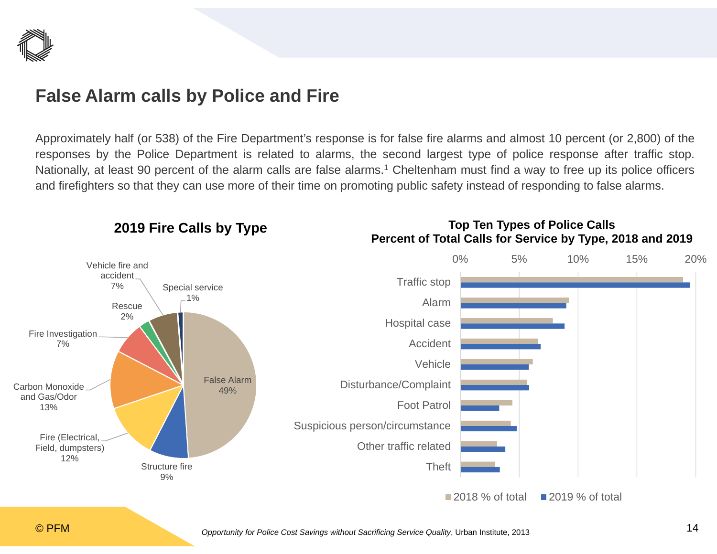

## **False Alarm calls by Police and Fire**

Approximately half (or 538) of the Fire Department's response is for false fire alarms and almost 10 percent (or 2,800) of the responses by the Police Department is related to alarms, the second largest type of police response after traffic stop. Nationally, at least 90 percent of the alarm calls are false alarms.<sup>1</sup> Cheltenham must find a way to free up its police officers and firefighters so that they can use more of their time on promoting public safety instead of responding to false alarms.

**Top Ten Types of Police Calls**



**M Opportunity for Police Cost Savings without Sacrificing Service Quality, Urban Institute, 2013 <b>14 14 14** 

© PFM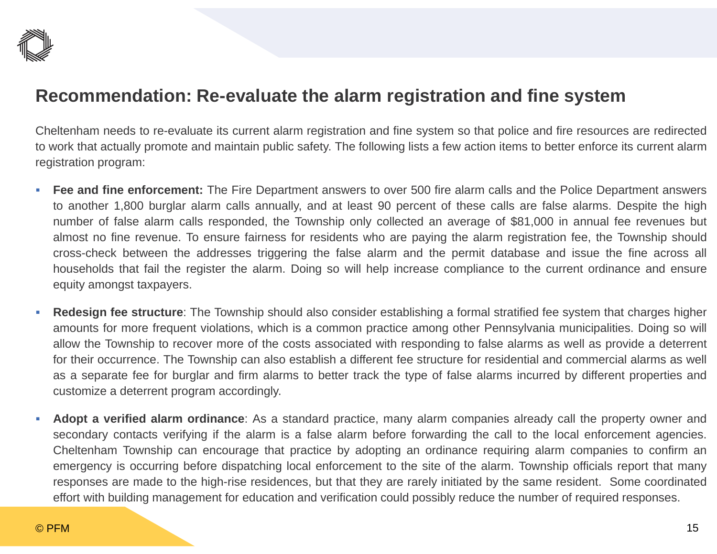![](_page_22_Picture_0.jpeg)

## **Recommendation: Re-evaluate the alarm registration and fine system**

Cheltenham needs to re-evaluate its current alarm registration and fine system so that police and fire resources are redirected to work that actually promote and maintain public safety. The following lists <sup>a</sup> few action items to better enforce its current alarm registration program:

- a. **Fee and fine enforcement:** The Fire Department answers to over 500 fire alarm calls and the Police Department answers to another 1,800 burglar alarm calls annually, and at least 90 percent of these calls are false alarms. Despite the high number of false alarm calls responded, the Township only collected an average of \$81,000 in annual fee revenues but almost no fine revenue. To ensure fairness for residents who are paying the alarm registration fee, the Township should cross-check between the addresses triggering the false alarm and the permit database and issue the fine across all households that fail the register the alarm. Doing so will help increase compliance to the current ordinance and ensure equity amongst taxpayers.
- **I Redesign fee structure**: The Township should also consider establishing <sup>a</sup> formal stratified fee system that charges higher amounts for more frequent violations, which is <sup>a</sup> common practice among other Pennsylvania municipalities. Doing so will allow the Township to recover more of the costs associated with responding to false alarms as well as provide <sup>a</sup> deterrent for their occurrence. The Township can also establish <sup>a</sup> different fee structure for residential and commercial alarms as well as <sup>a</sup> separate fee for burglar and firm alarms to better track the type of false alarms incurred by different properties and customize <sup>a</sup> deterrent program accordingly.
- I. **Adopt <sup>a</sup> verified alarm ordinance**: As <sup>a</sup> standard practice, many alarm companies already call the property owner and secondary contacts verifying if the alarm is <sup>a</sup> false alarm before forwarding the call to the local enforcement agencies. Cheltenham Township can encourage that practice by adopting an ordinance requiring alarm companies to confirm an emergency is occurring before dispatching local enforcement to the site of the alarm. Township officials report that many responses are made to the high-rise residences, but that they are rarely initiated by the same resident. Some coordinated effort with building management for education and verification could possibly reduce the number of required responses.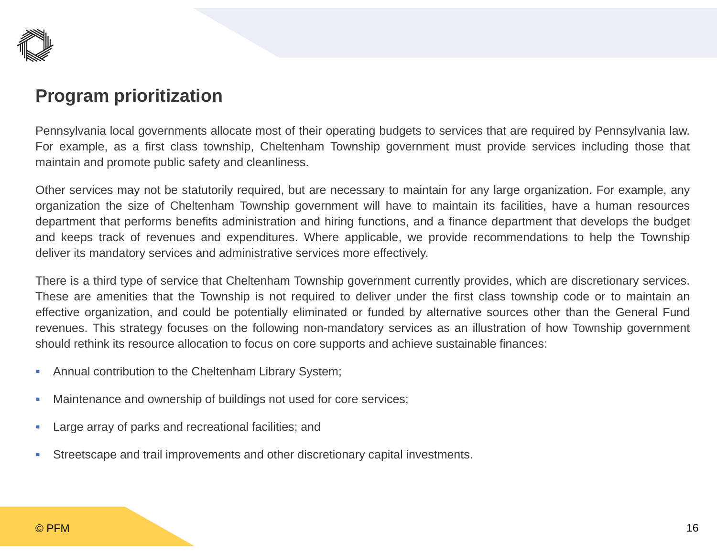![](_page_23_Picture_0.jpeg)

## **Program prioritization**

Pennsylvania local governments allocate most of their operating budgets to services that are required by Pennsylvania law. For example, as <sup>a</sup> first class township, Cheltenham Township government must provide services including those that maintain and promote public safety and cleanliness.

Other services may not be statutorily required, but are necessary to maintain for any large organization. For example, any organization the size of Cheltenham Township government will have to maintain its facilities, have <sup>a</sup> human resources department that performs benefits administration and hiring functions, and <sup>a</sup> finance department that develops the budget and keeps track of revenues and expenditures. Where applicable, we provide recommendations to help the Township deliver its mandatory services and administrative services more effectively.

There is <sup>a</sup> third type of service that Cheltenham Township government currently provides, which are discretionary services. These are amenities that the Township is not required to deliver under the first class township code or to maintain an effective organization, and could be potentially eliminated or funded by alternative sources other than the General Fund revenues. This strategy focuses on the following non-mandatory services as an illustration of how Township government should rethink its resource allocation to focus on core supports and achieve sustainable finances:

- $\overline{\phantom{a}}$ Annual contribution to the Cheltenham Library System;
- **D** Maintenance and ownership of buildings not used for core services;
- **D** Large array of parks and recreational facilities; and
- f. Streetscape and trail improvements and other discretionary capital investments.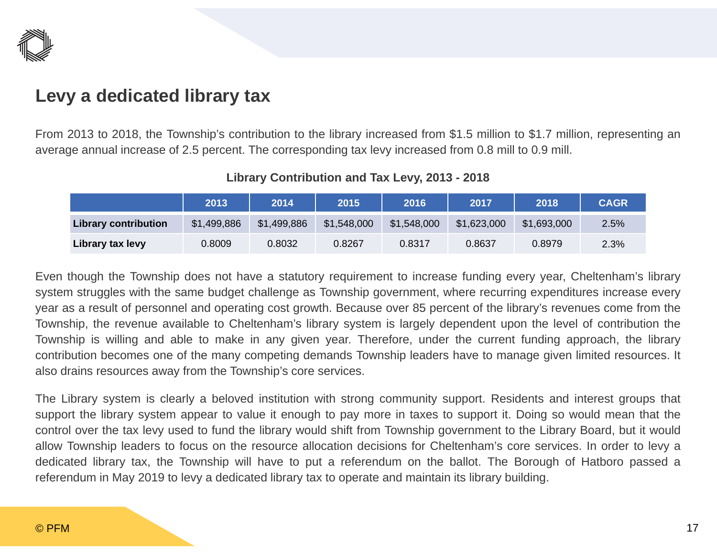![](_page_24_Picture_0.jpeg)

## **Levy a dedicated library tax**

From 2013 to 2018, the Township's contribution to the library increased from \$1.5 million to \$1.7 million, representing an average annual increase of 2.5 percent. The corresponding tax levy increased from 0.8 mill to 0.9 mill.

|                      | 2013        | 2014        | 2015        | 2016        | 2017        | 2018        | <b>CAGR</b> |  |
|----------------------|-------------|-------------|-------------|-------------|-------------|-------------|-------------|--|
| Library contribution | \$1,499,886 | \$1,499,886 | \$1,548,000 | \$1,548,000 | \$1,623,000 | \$1,693,000 | 2.5%        |  |
| Library tax levy     | 0.8009      | 0.8032      | 0.8267      | 0.8317      | 0.8637      | 0.8979      | 2.3%        |  |

#### **Library Contribution and Tax Levy, 2013 - 2018**

Even though the Township does not have <sup>a</sup> statutory requirement to increase funding every year, Cheltenham's library system struggles with the same budget challenge as Township government, where recurring expenditures increase every year as <sup>a</sup> result of personnel and operating cost growth. Because over 85 percent of the library's revenues come from the Township, the revenue available to Cheltenham's library system is largely dependent upon the level of contribution the Township is willing and able to make in any given year. Therefore, under the current funding approach, the library contribution becomes one of the many competing demands Township leaders have to manage given limited resources. It also drains resources away from the Township's core services.

The Library system is clearly <sup>a</sup> beloved institution with strong community support. Residents and interest groups that support the library system appear to value it enough to pay more in taxes to support it. Doing so would mean that the control over the tax levy used to fund the library would shift from Township government to the Library Board, but it would allow Township leaders to focus on the resource allocation decisions for Cheltenham's core services. In order to levy <sup>a</sup> dedicated library tax, the Township will have to put <sup>a</sup> referendum on the ballot. The Borough of Hatboro passed <sup>a</sup> referendum in May 2019 to levy <sup>a</sup> dedicated library tax to operate and maintain its library building.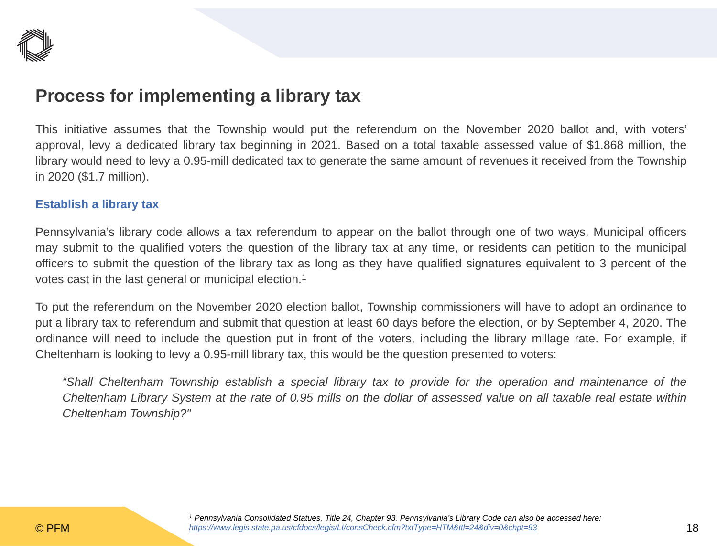![](_page_25_Picture_0.jpeg)

## **Process for implementing a library tax**

This initiative assumes that the Township would put the referendum on the November 2020 ballot and, with voters' approval, levy <sup>a</sup> dedicated library tax beginning in 2021. Based on <sup>a</sup> total taxable assessed value of \$1.868 million, the library would need to levy <sup>a</sup> 0.95-mill dedicated tax to generate the same amount of revenues it received from the Township in 2020 (\$1.7 million).

#### **Establish <sup>a</sup> library tax**

Pennsylvania's library code allows <sup>a</sup> tax referendum to appear on the ballot through one of two ways. Municipal officers may submit to the qualified voters the question of the library tax at any time, or residents can petition to the municipal officers to submit the question of the library tax as long as they have qualified signatures equivalent to 3 percent of the votes cast in the last general or municipal election.<sup>1</sup>

To put the referendum on the November 2020 election ballot, Township commissioners will have to adopt an ordinance to put <sup>a</sup> library tax to referendum and submit that question at least 60 days before the election, or by September 4, 2020. The ordinance will need to include the question put in front of the voters, including the library millage rate. For example, if Cheltenham is looking to levy <sup>a</sup> 0.95-mill library tax, this would be the question presented to voters:

"Shall Cheltenham Township establish a special library tax to provide for the operation and maintenance of the Cheltenham Library System at the rate of 0.95 mills on the dollar of assessed value on all taxable real estate within *Cheltenham Township?"*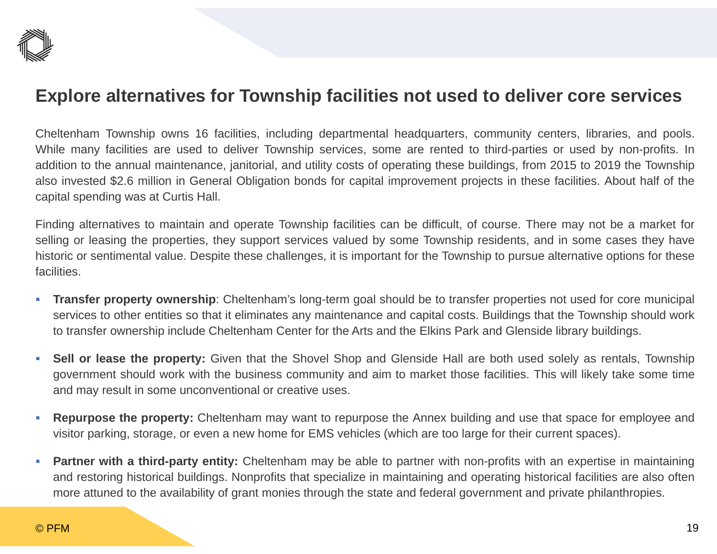![](_page_26_Picture_0.jpeg)

## **Explore alternatives for Township facilities not used to deliver core services**

Cheltenham Township owns 16 facilities, including departmental headquarters, community centers, libraries, and pools. While many facilities are used to deliver Township services, some are rented to third-parties or used by non-profits. In addition to the annual maintenance, janitorial, and utility costs of operating these buildings, from 2015 to 2019 the Township also invested \$2.6 million in General Obligation bonds for capital improvement projects in these facilities. About half of the capital spending was at Curtis Hall.

Finding alternatives to maintain and operate Township facilities can be difficult, of course. There may not be <sup>a</sup> market for selling or leasing the properties, they support services valued by some Township residents, and in some cases they have historic or sentimental value. Despite these challenges, it is important for the Township to pursue alternative options for these facilities.

- Ì. **Transfer property ownership:** Cheltenham's long-term goal should be to transfer properties not used for core municipal services to other entities so that it eliminates any maintenance and capital costs. Buildings that the Township should work to transfer ownership include Cheltenham Center for the Arts and the Elkins Park and Glenside library buildings.
- $\blacksquare$ **Sell or lease the property:** Given that the Shovel Shop and Glenside Hall are both used solely as rentals, Township government should work with the business community and aim to market those facilities. This will likely take some time and may result in some unconventional or creative uses.
- Ì. **Repurpose the property:** Cheltenham may want to repurpose the Annex building and use that space for employee and visitor parking, storage, or even <sup>a</sup> new home for EMS vehicles (which are too large for their current spaces).
- $\overline{\phantom{a}}$  **Partner with <sup>a</sup> third-party entity:** Cheltenham may be able to partner with non-profits with an expertise in maintaining and restoring historical buildings. Nonprofits that specialize in maintaining and operating historical facilities are also often more attuned to the availability of grant monies through the state and federal government and private philanthropies.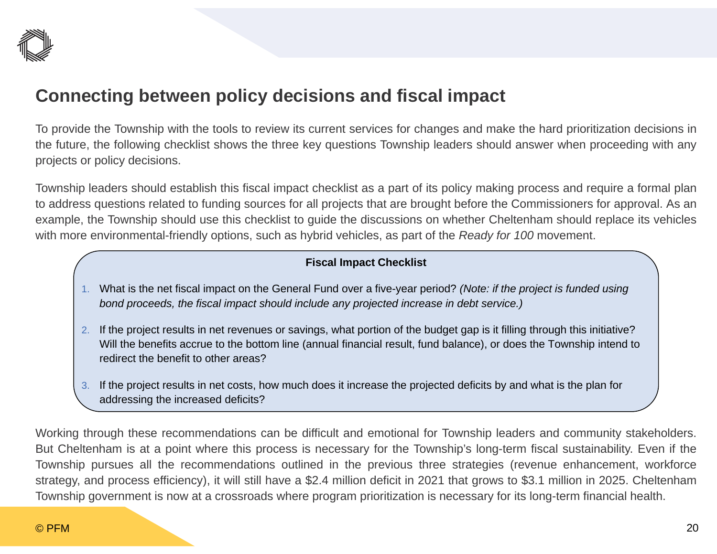![](_page_27_Picture_0.jpeg)

## **Connecting between policy decisions and fiscal impact**

To provide the Township with the tools to review its current services for changes and make the hard prioritization decisions in the future, the following checklist shows the three key questions Township leaders should answer when proceeding with any projects or policy decisions.

Township leaders should establish this fiscal impact checklist as <sup>a</sup> part of its policy making process and require <sup>a</sup> formal plan to address questions related to funding sources for all projects that are brought before the Commissioners for approval. As an example, the Township should use this checklist to guide the discussions on whether Cheltenham should replace its vehicles with more environmental-friendly options, such as hybrid vehicles, as part of the *Ready for 100* movement.

#### **Fiscal Impact Checklist**

- 1. What is the net fiscal impact on the General Fund over a five-year period? *(Note: if the project is funded using bond proceeds, the fiscal impact should include any projected increase in debt service.)*
- 2. If the project results in net revenues or savings, what portion of the budget gap is it filling through this initiative? Will the benefits accrue to the bottom line (annual financial result, fund balance), or does the Township intend to redirect the benefit to other areas?
- 3. If the project results in net costs, how much does it increase the projected deficits by and what is the plan for addressing the increased deficits?

Working through these recommendations can be difficult and emotional for Township leaders and community stakeholders. But Cheltenham is at <sup>a</sup> point where this process is necessary for the Township's long-term fiscal sustainability. Even if the Township pursues all the recommendations outlined in the previous three strategies (revenue enhancement, workforce strategy, and process efficiency), it will still have <sup>a</sup> \$2.4 million deficit in 2021 that grows to \$3.1 million in 2025. Cheltenham Township government is now at <sup>a</sup> crossroads where program prioritization is necessary for its long-term financial health.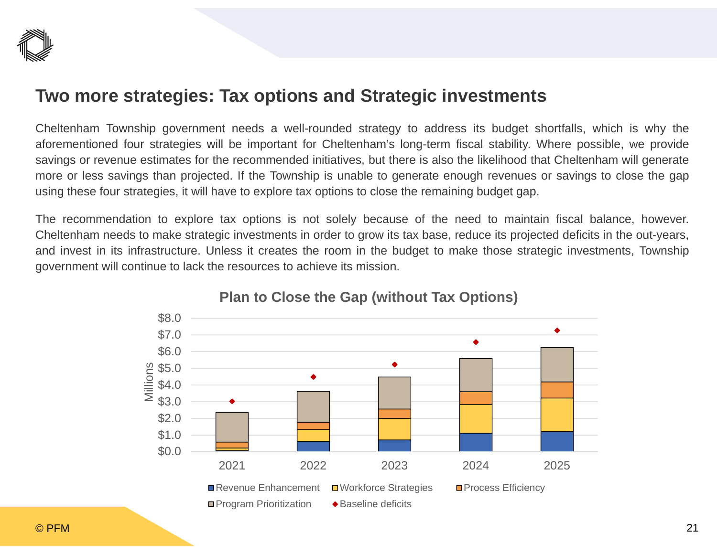![](_page_28_Picture_0.jpeg)

## **Two more strategies: Tax options and Strategic investments**

Cheltenham Township government needs <sup>a</sup> well-rounded strategy to address its budget shortfalls, which is why the aforementioned four strategies will be important for Cheltenham's long-term fiscal stability. Where possible, we provide savings or revenue estimates for the recommended initiatives, but there is also the likelihood that Cheltenham will generate more or less savings than projected. If the Township is unable to generate enough revenues or savings to close the gap using these four strategies, it will have to explore tax options to close the remaining budget gap.

The recommendation to explore tax options is not solely because of the need to maintain fiscal balance, however. Cheltenham needs to make strategic investments in order to grow its tax base, reduce its projected deficits in the out-years, and invest in its infrastructure. Unless it creates the room in the budget to make those strategic investments, Township government will continue to lack the resources to achieve its mission.

![](_page_28_Figure_4.jpeg)

#### **Plan to Close the Gap (without Tax Options)**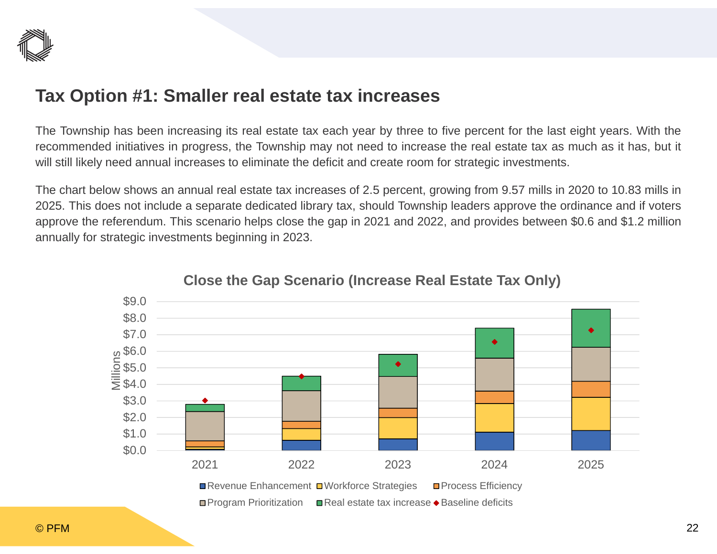![](_page_29_Picture_0.jpeg)

### **Tax Option #1: Smaller real estate tax increases**

The Township has been increasing its real estate tax each year by three to five percent for the last eight years. With the recommended initiatives in progress, the Township may not need to increase the real estate tax as much as it has, but it will still likely need annual increases to eliminate the deficit and create room for strategic investments.

The chart below shows an annual real estate tax increases of 2.5 percent, growing from 9.57 mills in 2020 to 10.83 mills in 2025. This does not include <sup>a</sup> separate dedicated library tax, should Township leaders approve the ordinance and if voters approve the referendum. This scenario helps close the gap in 2021 and 2022, and provides between \$0.6 and \$1.2 million annually for strategic investments beginning in 2023.

![](_page_29_Figure_4.jpeg)

#### **Close the Gap Scenario (Increase Real Estate Tax Only)**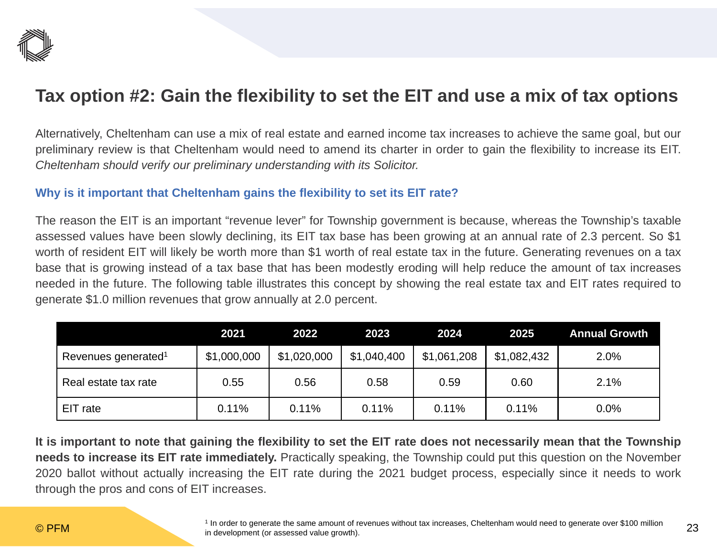![](_page_30_Picture_0.jpeg)

## **Tax option #2: Gain the flexibility to set the EIT and use a mix of tax options**

Alternatively, Cheltenham can use <sup>a</sup> mix of real estate and earned income tax increases to achieve the same goal, but our preliminary review is that Cheltenham would need to amend its charter in order to gain the flexibility to increase its EIT. *Cheltenham should verify our preliminary understanding with its Solicitor.*

#### Why is it important that Cheltenham gains the flexibility to set its EIT rate?

The reason the EIT is an important "revenue lever" for Township government is because, whereas the Township's taxable assessed values have been slowly declining, its EIT tax base has been growing at an annual rate of 2.3 percent. So \$1 worth of resident EIT will likely be worth more than \$1 worth of real estate tax in the future. Generating revenues on <sup>a</sup> tax base that is growing instead of <sup>a</sup> tax base that has been modestly eroding will help reduce the amount of tax increases needed in the future. The following table illustrates this concept by showing the real estate tax and EIT rates required to generate \$1.0 million revenues that grow annually at 2.0 percent.

|                                 | 2021        | 2022        | 2023        | 2024        | 2025        | <b>Annual Growth</b> |
|---------------------------------|-------------|-------------|-------------|-------------|-------------|----------------------|
| Revenues generated <sup>1</sup> | \$1,000,000 | \$1,020,000 | \$1,040,400 | \$1,061,208 | \$1,082,432 | 2.0%                 |
| Real estate tax rate            | 0.55        | 0.56        | 0.58        | 0.59        | 0.60        | 2.1%                 |
| EIT rate                        | 0.11%       | 0.11%       | 0.11%       | 0.11%       | 0.11%       | 0.0%                 |

It is important to note that gaining the flexibility to set the EIT rate does not necessarily mean that the Township **needs to increase its EIT rate immediately.** Practically speaking, the Township could put this question on the November 2020 ballot without actually increasing the EIT rate during the 2021 budget process, especially since it needs to work through the pros and cons of EIT increases.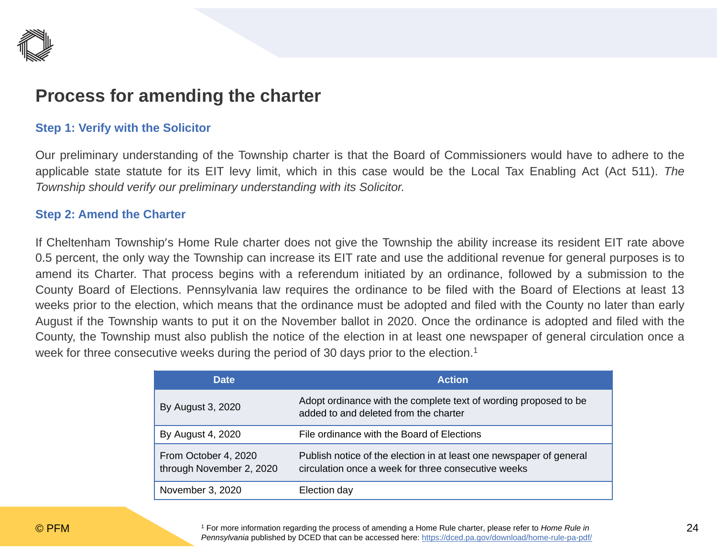![](_page_31_Picture_0.jpeg)

## **Process for amending the charter**

#### **Step 1: Verify with the Solicitor**

Our preliminary understanding of the Township charter is that the Board of Commissioners would have to adhere to the applicable state statute for its EIT levy limit, which in this case would be the Local Tax Enabling Act (Act 511). *The Township should verify our preliminary understanding with its Solicitor.*

#### **Step 2: Amend the Charter**

If Cheltenham Township'<sup>s</sup> Home Rule charter does not give the Township the ability increase its resident EIT rate above 0.5 percent, the only way the Township can increase its EIT rate and use the additional revenue for general purposes is to amend its Charter. That process begins with <sup>a</sup> referendum initiated by an ordinance, followed by <sup>a</sup> submission to the County Board of Elections. Pennsylvania law requires the ordinance to be filed with the Board of Elections at least 13 weeks prior to the election, which means that the ordinance must be adopted and filed with the County no later than early August if the Township wants to put it on the November ballot in 2020. Once the ordinance is adopted and filed with the County, the Township must also publish the notice of the election in at least one newspaper of general circulation once <sup>a</sup> week for three consecutive weeks during the period of 30 days prior to the election.<sup>1</sup>

| <b>Date</b>                                      | <b>Action</b>                                                                                                              |
|--------------------------------------------------|----------------------------------------------------------------------------------------------------------------------------|
| By August 3, 2020                                | Adopt ordinance with the complete text of wording proposed to be<br>added to and deleted from the charter                  |
| By August 4, 2020                                | File ordinance with the Board of Elections                                                                                 |
| From October 4, 2020<br>through November 2, 2020 | Publish notice of the election in at least one newspaper of general<br>circulation once a week for three consecutive weeks |
| November 3, 2020                                 | Election day                                                                                                               |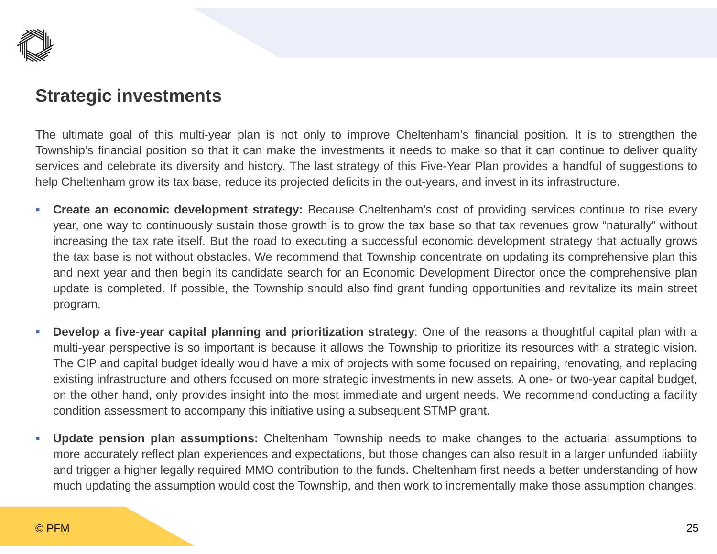![](_page_32_Picture_0.jpeg)

## **Strategic investments**

The ultimate goal of this multi-year plan is not only to improve Cheltenham's financial position. It is to strengthen the Township's financial position so that it can make the investments it needs to make so that it can continue to deliver quality services and celebrate its diversity and history. The last strategy of this Five-Year Plan provides <sup>a</sup> handful of suggestions to help Cheltenham grow its tax base, reduce its projected deficits in the out-years, and invest in its infrastructure.

- **I Create an economic development strategy:** Because Cheltenham's cost of providing services continue to rise every year, one way to continuously sustain those growth is to grow the tax base so that tax revenues grow "naturally" without increasing the tax rate itself. But the road to executing <sup>a</sup> successful economic development strategy that actually grows the tax base is not without obstacles. We recommend that Township concentrate on updating its comprehensive plan this and next year and then begin its candidate search for an Economic Development Director once the comprehensive plan update is completed. If possible, the Township should also find grant funding opportunities and revitalize its main street program.
- ř. **Develop <sup>a</sup> five-year capital planning and prioritization strategy**: One of the reasons <sup>a</sup> thoughtful capital plan with <sup>a</sup> multi-year perspective is so important is because it allows the Township to prioritize its resources with <sup>a</sup> strategic vision. The CIP and capital budget ideally would have <sup>a</sup> mix of projects with some focused on repairing, renovating, and replacing existing infrastructure and others focused on more strategic investments in new assets. A one- or two-year capital budget, on the other hand, only provides insight into the most immediate and urgent needs. We recommend conducting <sup>a</sup> facility condition assessment to accompany this initiative using <sup>a</sup> subsequent STMP grant.
- Ì. **Update pension plan assumptions:** Cheltenham Township needs to make changes to the actuarial assumptions to more accurately reflect plan experiences and expectations, but those changes can also result in <sup>a</sup> larger unfunded liability and trigger <sup>a</sup> higher legally required MMO contribution to the funds. Cheltenham first needs <sup>a</sup> better understanding of how much updating the assumption would cost the Township, and then work to incrementally make those assumption changes.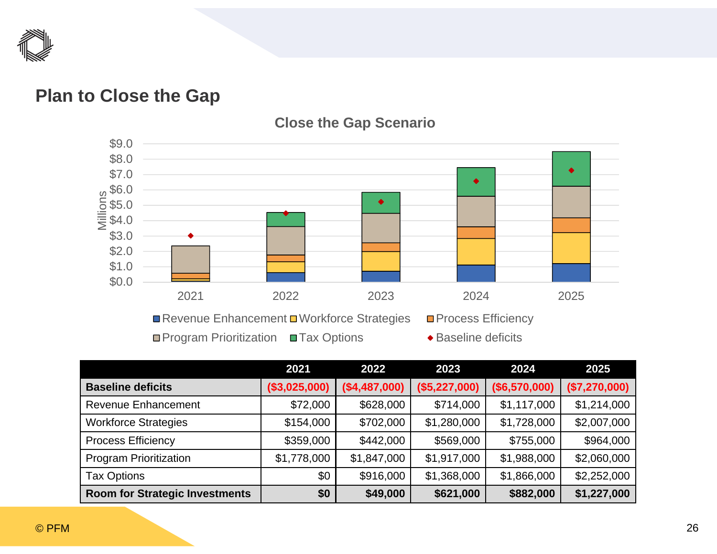![](_page_33_Picture_0.jpeg)

## **Plan to Close the Gap**

![](_page_33_Figure_2.jpeg)

#### **Close the Gap Scenario**

|                                       | 2021          | 2022          | 2023          | 2024          | 2025          |
|---------------------------------------|---------------|---------------|---------------|---------------|---------------|
| <b>Baseline deficits</b>              | (\$3,025,000) | (\$4,487,000) | (\$5,227,000) | (\$6,570,000) | (\$7,270,000) |
| <b>Revenue Enhancement</b>            | \$72,000      | \$628,000     | \$714,000     | \$1,117,000   | \$1,214,000   |
| <b>Workforce Strategies</b>           | \$154,000     | \$702,000     | \$1,280,000   | \$1,728,000   | \$2,007,000   |
| <b>Process Efficiency</b>             | \$359,000     | \$442,000     | \$569,000     | \$755,000     | \$964,000     |
| <b>Program Prioritization</b>         | \$1,778,000   | \$1,847,000   | \$1,917,000   | \$1,988,000   | \$2,060,000   |
| <b>Tax Options</b>                    | \$0           | \$916,000     | \$1,368,000   | \$1,866,000   | \$2,252,000   |
| <b>Room for Strategic Investments</b> | \$0           | \$49,000      | \$621,000     | \$882,000     | \$1,227,000   |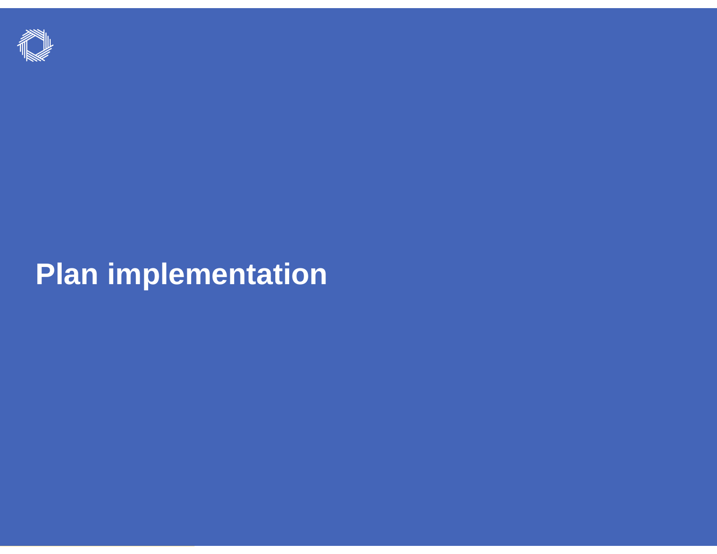![](_page_34_Picture_0.jpeg)

## **Plan implementation**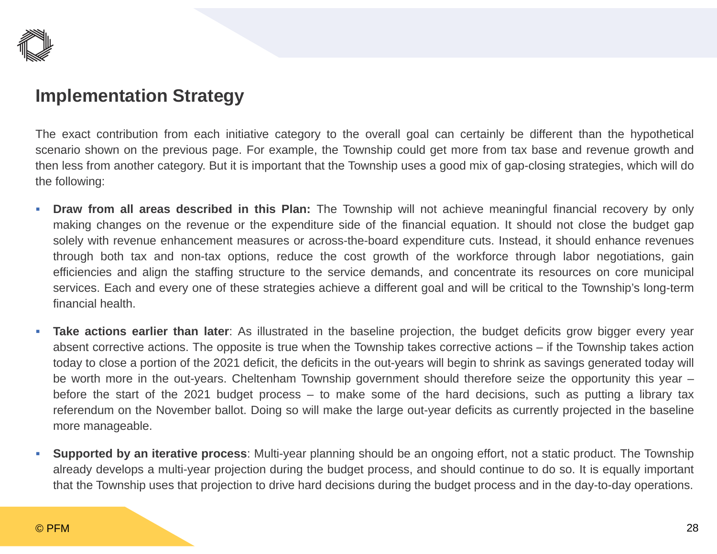![](_page_35_Picture_0.jpeg)

## **Implementation Strategy**

The exact contribution from each initiative category to the overall goal can certainly be different than the hypothetical scenario shown on the previous page. For example, the Township could get more from tax base and revenue growth and then less from another category. But it is important that the Township uses <sup>a</sup> good mix of gap-closing strategies, which will do the following:

- a. **Draw from all areas described in this Plan:** The Township will not achieve meaningful financial recovery by only making changes on the revenue or the expenditure side of the financial equation. It should not close the budget gap solely with revenue enhancement measures or across-the-board expenditure cuts. Instead, it should enhance revenues through both tax and non-tax options, reduce the cost growth of the workforce through labor negotiations, gain efficiencies and align the staffing structure to the service demands, and concentrate its resources on core municipal services. Each and every one of these strategies achieve <sup>a</sup> different goal and will be critical to the Township's long-term financial health.
- $\overline{\phantom{a}}$ **Take actions earlier than later**: As illustrated in the baseline projection, the budget deficits grow bigger every year absent corrective actions. The opposite is true when the Township takes corrective actions – if the Township takes action today to close <sup>a</sup> portion of the 2021 deficit, the deficits in the out-years will begin to shrink as savings generated today will be worth more in the out-years. Cheltenham Township government should therefore seize the opportunity this year – before the start of the 2021 budget process – to make some of the hard decisions, such as putting <sup>a</sup> library tax referendum on the November ballot. Doing so will make the large out-year deficits as currently projected in the baseline more manageable.
- $\blacksquare$  **Supported by an iterative process**: Multi-year planning should be an ongoing effort, not <sup>a</sup> static product. The Township already develops <sup>a</sup> multi-year projection during the budget process, and should continue to do so. It is equally important that the Township uses that projection to drive hard decisions during the budget process and in the day-to-day operations.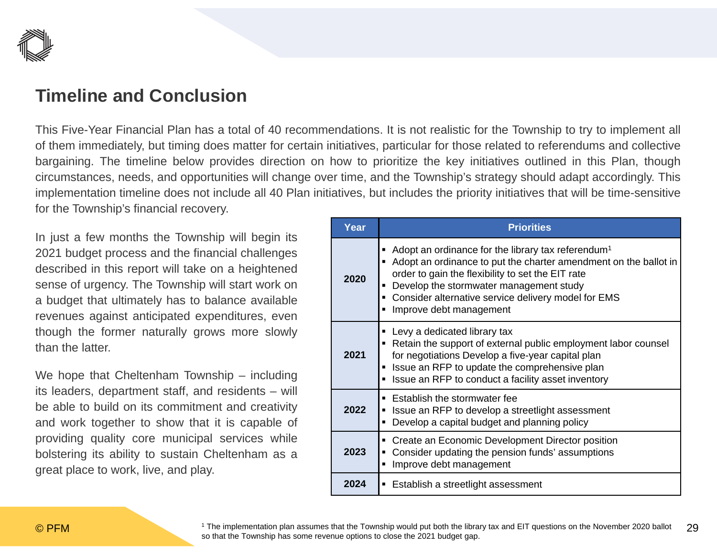![](_page_36_Picture_0.jpeg)

## **Timeline and Conclusion**

This Five-Year Financial Plan has <sup>a</sup> total of 40 recommendations. It is not realistic for the Township to try to implement all of them immediately, but timing does matter for certain initiatives, particular for those related to referendums and collective bargaining. The timeline below provides direction on how to prioritize the key initiatives outlined in this Plan, though circumstances, needs, and opportunities will change over time, and the Township's strategy should adapt accordingly. This implementation timeline does not include all 40 Plan initiatives, but includes the priority initiatives that will be time-sensitive for the Township's financial recovery.

In just <sup>a</sup> few months the Township will begin its 2021 budget process and the financial challenges described in this report will take on <sup>a</sup> heightened sense of urgency. The Township will start work on <sup>a</sup> budget that ultimately has to balance available revenues against anticipated expenditures, even though the former naturally grows more slowly than the latter.

We hope that Cheltenham Township – including its leaders, department staff, and residents – will be able to build on its commitment and creativity and work together to show that it is capable of providing quality core municipal services while bolstering its ability to sustain Cheltenham as <sup>a</sup> great place to work, live, and play.

| Year | <b>Priorities</b>                                                                                                                                                                                                                                                                                                                                     |
|------|-------------------------------------------------------------------------------------------------------------------------------------------------------------------------------------------------------------------------------------------------------------------------------------------------------------------------------------------------------|
| 2020 | Adopt an ordinance for the library tax referendum <sup>1</sup><br>Adopt an ordinance to put the charter amendment on the ballot in<br>$\blacksquare$<br>order to gain the flexibility to set the EIT rate<br>Develop the stormwater management study<br>٠<br>Consider alternative service delivery model for EMS<br>٠<br>Improve debt management<br>■ |
| 2021 | Levy a dedicated library tax<br>٠<br>Retain the support of external public employment labor counsel<br>٠<br>for negotiations Develop a five-year capital plan<br>Issue an RFP to update the comprehensive plan<br>٠<br>Issue an RFP to conduct a facility asset inventory                                                                             |
| 2022 | Establish the stormwater fee<br>٠<br>Issue an RFP to develop a streetlight assessment<br>٠<br>Develop a capital budget and planning policy                                                                                                                                                                                                            |
| 2023 | Create an Economic Development Director position<br>٠<br>Consider updating the pension funds' assumptions<br>٠<br>Improve debt management<br>■                                                                                                                                                                                                        |
| 2024 | Establish a streetlight assessment<br>٠                                                                                                                                                                                                                                                                                                               |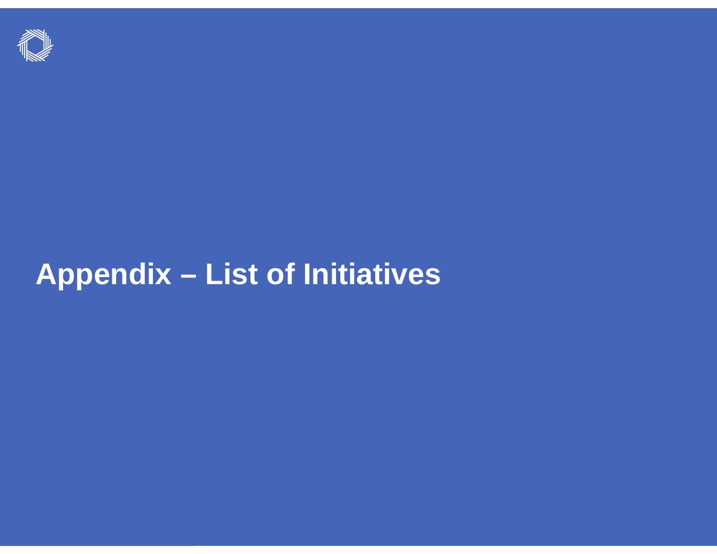![](_page_37_Picture_0.jpeg)

## **Appendix – List of Initiatives**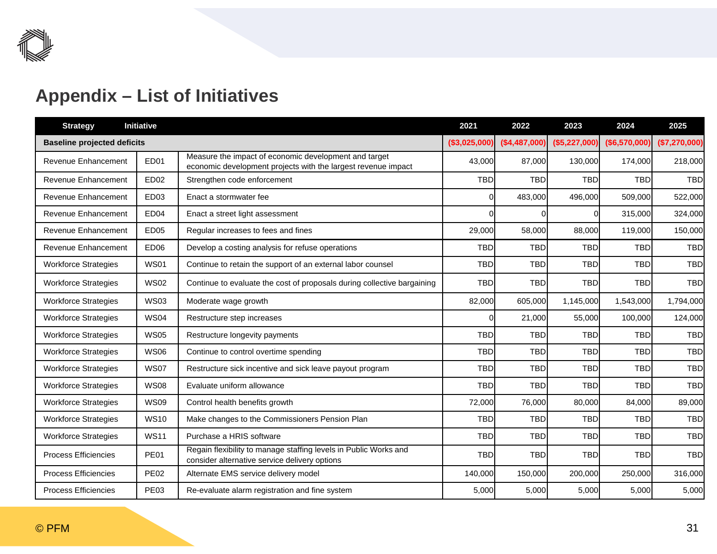![](_page_38_Picture_0.jpeg)

## **Appendix – List of Initiatives**

| <b>Strategy</b>                    | <b>Initiative</b> |                                                                                                                        | 2021          | 2022          | 2023          | 2024           | 2025          |
|------------------------------------|-------------------|------------------------------------------------------------------------------------------------------------------------|---------------|---------------|---------------|----------------|---------------|
| <b>Baseline projected deficits</b> |                   |                                                                                                                        | (\$3,025,000) | (\$4,487,000) | (\$5,227,000) | ( \$6,570,000] | (\$7,270,000) |
| Revenue Enhancement                | ED <sub>01</sub>  | Measure the impact of economic development and target<br>economic development projects with the largest revenue impact | 43,000        | 87,000        | 130,000       | 174,000        | 218,000       |
| Revenue Enhancement                | ED <sub>02</sub>  | Strengthen code enforcement                                                                                            | <b>TBD</b>    | <b>TBD</b>    | <b>TBD</b>    | <b>TBD</b>     | <b>TBD</b>    |
| Revenue Enhancement                | ED03              | Enact a stormwater fee                                                                                                 | $\Omega$      | 483,000       | 496,000       | 509,000        | 522,000       |
| Revenue Enhancement                | ED <sub>04</sub>  | Enact a street light assessment                                                                                        | Οl            |               | $\Omega$      | 315,000        | 324,000       |
| Revenue Enhancement                | ED <sub>05</sub>  | Regular increases to fees and fines                                                                                    | 29,000        | 58,000        | 88,000        | 119,000        | 150,000       |
| Revenue Enhancement                | ED <sub>06</sub>  | Develop a costing analysis for refuse operations                                                                       | <b>TBD</b>    | <b>TBD</b>    | <b>TBD</b>    | <b>TBD</b>     | <b>TBD</b>    |
| <b>Workforce Strategies</b>        | <b>WS01</b>       | Continue to retain the support of an external labor counsel                                                            | <b>TBD</b>    | <b>TBD</b>    | <b>TBD</b>    | <b>TBDI</b>    | <b>TBD</b>    |
| <b>Workforce Strategies</b>        | <b>WS02</b>       | Continue to evaluate the cost of proposals during collective bargaining                                                | <b>TBD</b>    | <b>TBD</b>    | <b>TBD</b>    | <b>TBD</b>     | <b>TBD</b>    |
| <b>Workforce Strategies</b>        | <b>WS03</b>       | Moderate wage growth                                                                                                   | 82,000        | 605,000       | 1,145,000     | 1,543,000      | 1,794,000     |
| <b>Workforce Strategies</b>        | <b>WS04</b>       | Restructure step increases                                                                                             | $\Omega$      | 21,000        | 55,000        | 100,000        | 124,000       |
| <b>Workforce Strategies</b>        | <b>WS05</b>       | Restructure longevity payments                                                                                         | <b>TBD</b>    | <b>TBD</b>    | <b>TBD</b>    | <b>TBD</b>     | <b>TBD</b>    |
| <b>Workforce Strategies</b>        | <b>WS06</b>       | Continue to control overtime spending                                                                                  | <b>TBDI</b>   | <b>TBD</b>    | <b>TBD</b>    | <b>TBDI</b>    | <b>TBD</b>    |
| <b>Workforce Strategies</b>        | <b>WS07</b>       | Restructure sick incentive and sick leave payout program                                                               | <b>TBD</b>    | <b>TBD</b>    | <b>TBD</b>    | <b>TBD</b>     | <b>TBD</b>    |
| <b>Workforce Strategies</b>        | <b>WS08</b>       | Evaluate uniform allowance                                                                                             | <b>TBD</b>    | <b>TBD</b>    | <b>TBD</b>    | <b>TBD</b>     | <b>TBD</b>    |
| <b>Workforce Strategies</b>        | <b>WS09</b>       | Control health benefits growth                                                                                         | 72,000        | 76,000        | 80,000        | 84,000         | 89,000        |
| <b>Workforce Strategies</b>        | <b>WS10</b>       | Make changes to the Commissioners Pension Plan                                                                         | <b>TBD</b>    | <b>TBD</b>    | <b>TBD</b>    | <b>TBD</b>     | <b>TBD</b>    |
| <b>Workforce Strategies</b>        | <b>WS11</b>       | Purchase a HRIS software                                                                                               | <b>TBD</b>    | <b>TBD</b>    | <b>TBD</b>    | <b>TBD</b>     | <b>TBD</b>    |
| <b>Process Efficiencies</b>        | <b>PE01</b>       | Regain flexibility to manage staffing levels in Public Works and<br>consider alternative service delivery options      | <b>TBD</b>    | <b>TBD</b>    | <b>TBD</b>    | <b>TBD</b>     | <b>TBD</b>    |
| <b>Process Efficiencies</b>        | <b>PE02</b>       | Alternate EMS service delivery model                                                                                   | 140,000       | 150,000       | 200,000       | 250,000        | 316,000       |
| <b>Process Efficiencies</b>        | <b>PE03</b>       | Re-evaluate alarm registration and fine system                                                                         | 5,000         | 5,000         | 5,000         | 5,000          | 5,000         |